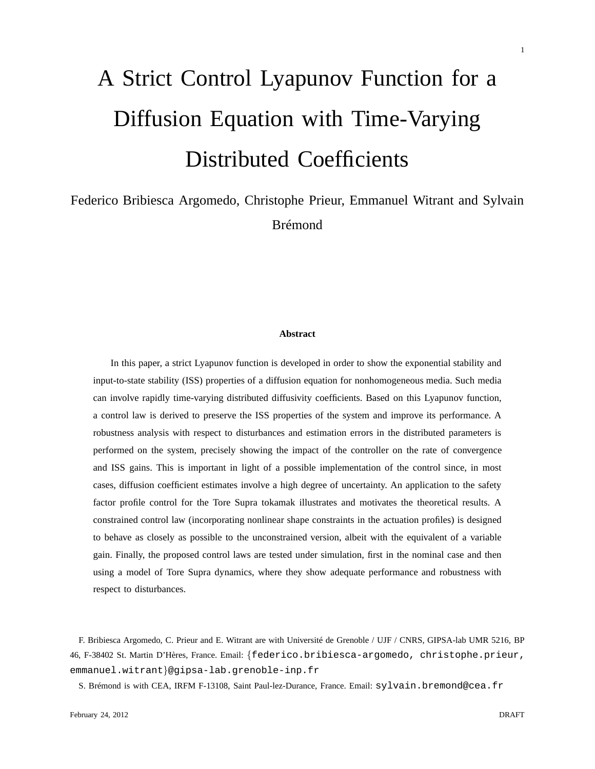# A Strict Control Lyapunov Function for a Diffusion Equation with Time-Varying Distributed Coefficients

## Federico Bribiesca Argomedo, Christophe Prieur, Emmanuel Witrant and Sylvain Brémond

#### **Abstract**

In this paper, a strict Lyapunov function is developed in order to show the exponential stability and input-to-state stability (ISS) properties of a diffusion equation for nonhomogeneous media. Such media can involve rapidly time-varying distributed diffusivity coefficients. Based on this Lyapunov function, a control law is derived to preserve the ISS properties of the system and improve its performance. A robustness analysis with respect to disturbances and estimation errors in the distributed parameters is performed on the system, precisely showing the impact of the controller on the rate of convergence and ISS gains. This is important in light of a possible implementation of the control since, in most cases, diffusion coefficient estimates involve a high degree of uncertainty. An application to the safety factor profile control for the Tore Supra tokamak illustrates and motivates the theoretical results. A constrained control law (incorporating nonlinear shape constraints in the actuation profiles) is designed to behave as closely as possible to the unconstrained version, albeit with the equivalent of a variable gain. Finally, the proposed control laws are tested under simulation, first in the nominal case and then using a model of Tore Supra dynamics, where they show adequate performance and robustness with respect to disturbances.

F. Bribiesca Argomedo, C. Prieur and E. Witrant are with Université de Grenoble / UJF / CNRS, GIPSA-lab UMR 5216, BP 46, F-38402 St. Martin D'Hères, France. Email: {federico.bribiesca-argomedo, christophe.prieur, emmanuel.witrant}@gipsa-lab.grenoble-inp.fr

S. Brémond is with CEA, IRFM F-13108, Saint Paul-lez-Durance, France. Email: sylvain.bremond@cea.fr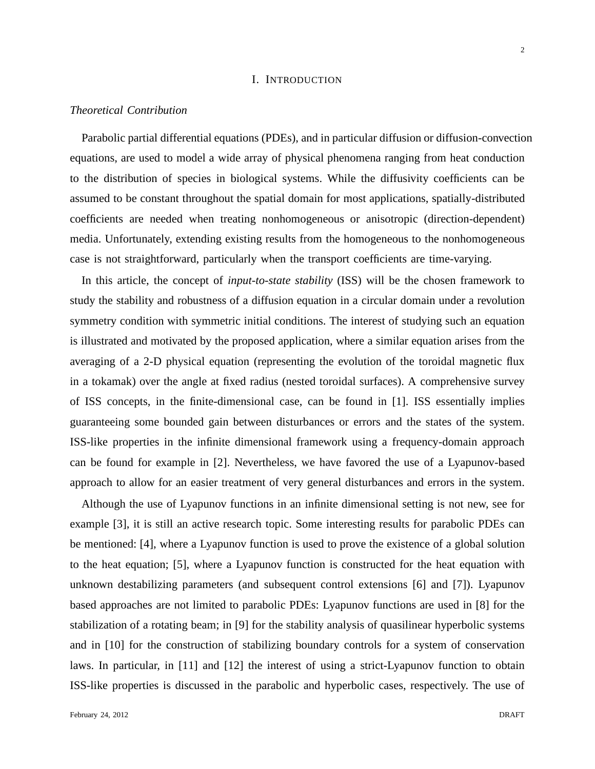#### I. INTRODUCTION

#### *Theoretical Contribution*

Parabolic partial differential equations (PDEs), and in particular diffusion or diffusion-convection equations, are used to model a wide array of physical phenomena ranging from heat conduction to the distribution of species in biological systems. While the diffusivity coefficients can be assumed to be constant throughout the spatial domain for most applications, spatially-distributed coefficients are needed when treating nonhomogeneous or anisotropic (direction-dependent) media. Unfortunately, extending existing results from the homogeneous to the nonhomogeneous case is not straightforward, particularly when the transport coefficients are time-varying.

In this article, the concept of *input-to-state stability* (ISS) will be the chosen framework to study the stability and robustness of a diffusion equation in a circular domain under a revolution symmetry condition with symmetric initial conditions. The interest of studying such an equation is illustrated and motivated by the proposed application, where a similar equation arises from the averaging of a 2-D physical equation (representing the evolution of the toroidal magnetic flux in a tokamak) over the angle at fixed radius (nested toroidal surfaces). A comprehensive survey of ISS concepts, in the finite-dimensional case, can be found in [1]. ISS essentially implies guaranteeing some bounded gain between disturbances or errors and the states of the system. ISS-like properties in the infinite dimensional framework using a frequency-domain approach can be found for example in [2]. Nevertheless, we have favored the use of a Lyapunov-based approach to allow for an easier treatment of very general disturbances and errors in the system.

Although the use of Lyapunov functions in an infinite dimensional setting is not new, see for example [3], it is still an active research topic. Some interesting results for parabolic PDEs can be mentioned: [4], where a Lyapunov function is used to prove the existence of a global solution to the heat equation; [5], where a Lyapunov function is constructed for the heat equation with unknown destabilizing parameters (and subsequent control extensions [6] and [7]). Lyapunov based approaches are not limited to parabolic PDEs: Lyapunov functions are used in [8] for the stabilization of a rotating beam; in [9] for the stability analysis of quasilinear hyperbolic systems and in [10] for the construction of stabilizing boundary controls for a system of conservation laws. In particular, in [11] and [12] the interest of using a strict-Lyapunov function to obtain ISS-like properties is discussed in the parabolic and hyperbolic cases, respectively. The use of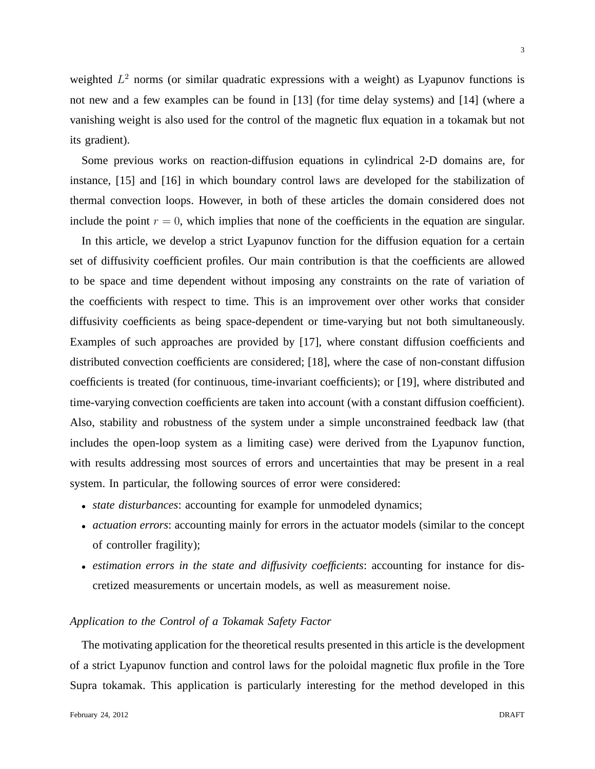weighted  $L^2$  norms (or similar quadratic expressions with a weight) as Lyapunov functions is not new and a few examples can be found in [13] (for time delay systems) and [14] (where a vanishing weight is also used for the control of the magnetic flux equation in a tokamak but not its gradient).

Some previous works on reaction-diffusion equations in cylindrical 2-D domains are, for instance, [15] and [16] in which boundary control laws are developed for the stabilization of thermal convection loops. However, in both of these articles the domain considered does not include the point  $r = 0$ , which implies that none of the coefficients in the equation are singular.

In this article, we develop a strict Lyapunov function for the diffusion equation for a certain set of diffusivity coefficient profiles. Our main contribution is that the coefficients are allowed to be space and time dependent without imposing any constraints on the rate of variation of the coefficients with respect to time. This is an improvement over other works that consider diffusivity coefficients as being space-dependent or time-varying but not both simultaneously. Examples of such approaches are provided by [17], where constant diffusion coefficients and distributed convection coefficients are considered; [18], where the case of non-constant diffusion coefficients is treated (for continuous, time-invariant coefficients); or [19], where distributed and time-varying convection coefficients are taken into account (with a constant diffusion coefficient). Also, stability and robustness of the system under a simple unconstrained feedback law (that includes the open-loop system as a limiting case) were derived from the Lyapunov function, with results addressing most sources of errors and uncertainties that may be present in a real system. In particular, the following sources of error were considered:

- *state disturbances*: accounting for example for unmodeled dynamics;
- *actuation errors*: accounting mainly for errors in the actuator models (similar to the concept of controller fragility);
- *estimation errors in the state and diffusivity coefficients*: accounting for instance for discretized measurements or uncertain models, as well as measurement noise.

#### *Application to the Control of a Tokamak Safety Factor*

The motivating application for the theoretical results presented in this article is the development of a strict Lyapunov function and control laws for the poloidal magnetic flux profile in the Tore Supra tokamak. This application is particularly interesting for the method developed in this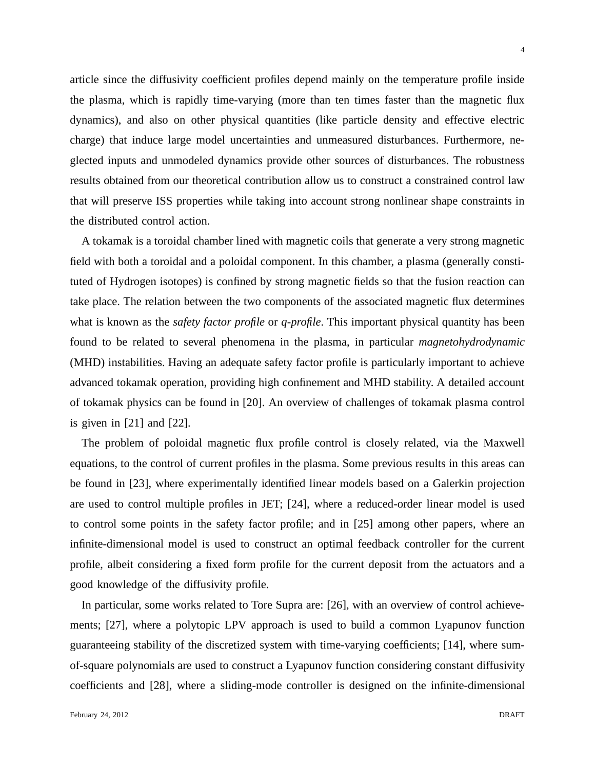article since the diffusivity coefficient profiles depend mainly on the temperature profile inside the plasma, which is rapidly time-varying (more than ten times faster than the magnetic flux dynamics), and also on other physical quantities (like particle density and effective electric charge) that induce large model uncertainties and unmeasured disturbances. Furthermore, neglected inputs and unmodeled dynamics provide other sources of disturbances. The robustness results obtained from our theoretical contribution allow us to construct a constrained control law that will preserve ISS properties while taking into account strong nonlinear shape constraints in the distributed control action.

A tokamak is a toroidal chamber lined with magnetic coils that generate a very strong magnetic field with both a toroidal and a poloidal component. In this chamber, a plasma (generally constituted of Hydrogen isotopes) is confined by strong magnetic fields so that the fusion reaction can take place. The relation between the two components of the associated magnetic flux determines what is known as the *safety factor profile* or *q-profile*. This important physical quantity has been found to be related to several phenomena in the plasma, in particular *magnetohydrodynamic* (MHD) instabilities. Having an adequate safety factor profile is particularly important to achieve advanced tokamak operation, providing high confinement and MHD stability. A detailed account of tokamak physics can be found in [20]. An overview of challenges of tokamak plasma control is given in [21] and [22].

The problem of poloidal magnetic flux profile control is closely related, via the Maxwell equations, to the control of current profiles in the plasma. Some previous results in this areas can be found in [23], where experimentally identified linear models based on a Galerkin projection are used to control multiple profiles in JET; [24], where a reduced-order linear model is used to control some points in the safety factor profile; and in [25] among other papers, where an infinite-dimensional model is used to construct an optimal feedback controller for the current profile, albeit considering a fixed form profile for the current deposit from the actuators and a good knowledge of the diffusivity profile.

In particular, some works related to Tore Supra are: [26], with an overview of control achievements; [27], where a polytopic LPV approach is used to build a common Lyapunov function guaranteeing stability of the discretized system with time-varying coefficients; [14], where sumof-square polynomials are used to construct a Lyapunov function considering constant diffusivity coefficients and [28], where a sliding-mode controller is designed on the infinite-dimensional

4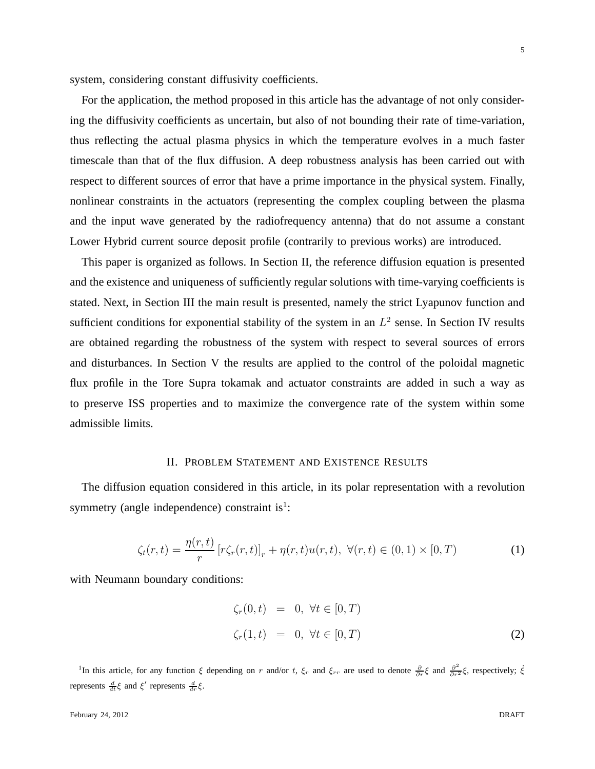system, considering constant diffusivity coefficients.

For the application, the method proposed in this article has the advantage of not only considering the diffusivity coefficients as uncertain, but also of not bounding their rate of time-variation, thus reflecting the actual plasma physics in which the temperature evolves in a much faster timescale than that of the flux diffusion. A deep robustness analysis has been carried out with respect to different sources of error that have a prime importance in the physical system. Finally, nonlinear constraints in the actuators (representing the complex coupling between the plasma and the input wave generated by the radiofrequency antenna) that do not assume a constant Lower Hybrid current source deposit profile (contrarily to previous works) are introduced.

This paper is organized as follows. In Section II, the reference diffusion equation is presented and the existence and uniqueness of sufficiently regular solutions with time-varying coefficients is stated. Next, in Section III the main result is presented, namely the strict Lyapunov function and sufficient conditions for exponential stability of the system in an  $L^2$  sense. In Section IV results are obtained regarding the robustness of the system with respect to several sources of errors and disturbances. In Section V the results are applied to the control of the poloidal magnetic flux profile in the Tore Supra tokamak and actuator constraints are added in such a way as to preserve ISS properties and to maximize the convergence rate of the system within some admissible limits.

#### II. PROBLEM STATEMENT AND EXISTENCE RESULTS

The diffusion equation considered in this article, in its polar representation with a revolution symmetry (angle independence) constraint is $<sup>1</sup>$ :</sup>

$$
\zeta_t(r,t) = \frac{\eta(r,t)}{r} \left[ r\zeta_r(r,t) \right]_r + \eta(r,t)u(r,t), \ \forall (r,t) \in (0,1) \times [0,T) \tag{1}
$$

with Neumann boundary conditions:

$$
\begin{aligned}\n\zeta_r(0,t) &= 0, \ \forall t \in [0,T) \\
\zeta_r(1,t) &= 0, \ \forall t \in [0,T)\n\end{aligned} \tag{2}
$$

<sup>1</sup>In this article, for any function  $\xi$  depending on r and/or t,  $\xi_r$  and  $\xi_{rr}$  are used to denote  $\frac{\partial}{\partial r} \xi$  and  $\frac{\partial^2}{\partial r^2} \xi$ , respectively;  $\xi$ represents  $\frac{d}{dt}\xi$  and  $\xi'$  represents  $\frac{d}{dr}\xi$ .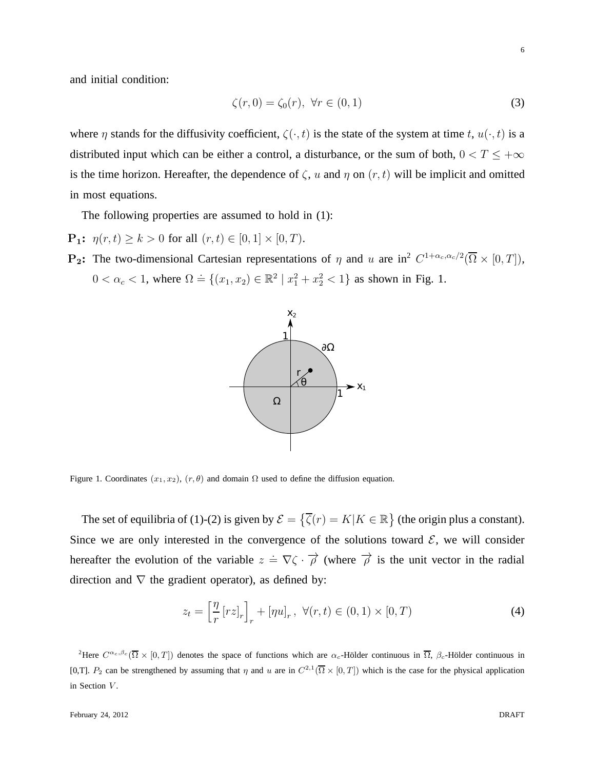and initial condition:

$$
\zeta(r,0) = \zeta_0(r), \ \forall r \in (0,1)
$$
\n(3)

where  $\eta$  stands for the diffusivity coefficient,  $\zeta(\cdot,t)$  is the state of the system at time t,  $u(\cdot,t)$  is a distributed input which can be either a control, a disturbance, or the sum of both,  $0 < T \leq +\infty$ is the time horizon. Hereafter, the dependence of  $\zeta$ , u and  $\eta$  on  $(r, t)$  will be implicit and omitted in most equations.

The following properties are assumed to hold in (1):

- **P<sub>1</sub>:**  $\eta(r, t) \geq k > 0$  for all  $(r, t) \in [0, 1] \times [0, T)$ .
- **P<sub>2</sub>:** The two-dimensional Cartesian representations of  $\eta$  and u are in<sup>2</sup>  $C^{1+\alpha_c,\alpha_c/2}(\overline{\Omega}\times[0,T])$ ,  $0 < \alpha_c < 1$ , where  $\Omega = \{(x_1, x_2) \in \mathbb{R}^2 \mid x_1^2 + x_2^2 < 1\}$  as shown in Fig. 1.



Figure 1. Coordinates  $(x_1, x_2)$ ,  $(r, \theta)$  and domain  $\Omega$  used to define the diffusion equation.

The set of equilibria of (1)-(2) is given by  $\mathcal{E} = \{\overline{\zeta}(r) = K | K \in \mathbb{R}\}\$  (the origin plus a constant). Since we are only interested in the convergence of the solutions toward  $\mathcal{E}$ , we will consider hereafter the evolution of the variable  $z = \nabla \zeta \cdot \vec{\rho}$  (where  $\vec{\rho}$  is the unit vector in the radial direction and  $\nabla$  the gradient operator), as defined by:

$$
z_t = \left[\frac{\eta}{r} \left[rz\right]_r\right]_r + \left[\eta u\right]_r, \ \forall (r, t) \in (0, 1) \times [0, T)
$$
\n
$$
\tag{4}
$$

<sup>2</sup>Here  $C^{\alpha_c,\beta_c}(\overline{\Omega}\times[0,T])$  denotes the space of functions which are  $\alpha_c$ -Hölder continuous in  $\overline{\Omega}$ ,  $\beta_c$ -Hölder continuous in [0,T].  $P_2$  can be strengthened by assuming that  $\eta$  and u are in  $C^{2,1}(\overline{\Omega}\times [0,T])$  which is the case for the physical application in Section  $V$ .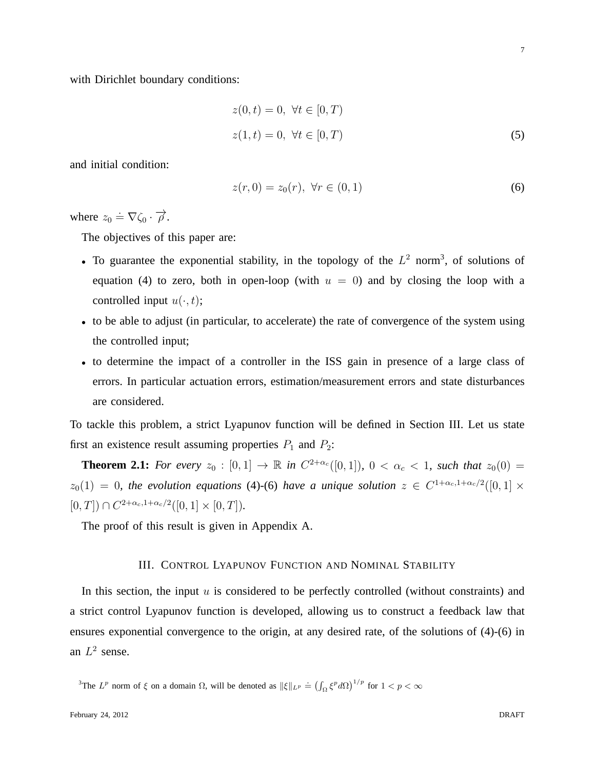with Dirichlet boundary conditions:

$$
z(0, t) = 0, \forall t \in [0, T)
$$
  
 
$$
z(1, t) = 0, \forall t \in [0, T)
$$
 (5)

and initial condition:

$$
z(r,0) = z_0(r), \ \forall r \in (0,1)
$$
 (6)

where  $z_0 \doteq \nabla \zeta_0 \cdot \vec{\rho}$ .

The objectives of this paper are:

- To guarantee the exponential stability, in the topology of the  $L^2$  norm<sup>3</sup>, of solutions of equation (4) to zero, both in open-loop (with  $u = 0$ ) and by closing the loop with a controlled input  $u(\cdot, t)$ ;
- to be able to adjust (in particular, to accelerate) the rate of convergence of the system using the controlled input;
- to determine the impact of a controller in the ISS gain in presence of a large class of errors. In particular actuation errors, estimation/measurement errors and state disturbances are considered.

To tackle this problem, a strict Lyapunov function will be defined in Section III. Let us state first an existence result assuming properties  $P_1$  and  $P_2$ :

**Theorem 2.1:** For every  $z_0 : [0,1] \to \mathbb{R}$  in  $C^{2+\alpha_c}([0,1])$ ,  $0 < \alpha_c < 1$ , such that  $z_0(0) =$  $z_0(1) = 0$ , the evolution equations (4)-(6) have a unique solution  $z \in C^{1+\alpha_c,1+\alpha_c/2}([0,1] \times$  $[0, T]$ )  $\cap C^{2+\alpha_c, 1+\alpha_c/2}([0, 1] \times [0, T]).$ 

The proof of this result is given in Appendix A.

#### III. CONTROL LYAPUNOV FUNCTION AND NOMINAL STABILITY

In this section, the input  $u$  is considered to be perfectly controlled (without constraints) and a strict control Lyapunov function is developed, allowing us to construct a feedback law that ensures exponential convergence to the origin, at any desired rate, of the solutions of (4)-(6) in an  $L^2$  sense.

<sup>3</sup>The  $L^p$  norm of  $\xi$  on a domain  $\Omega$ , will be denoted as  $\|\xi\|_{L^p} \doteq (\int_{\Omega} \xi^p d\Omega)^{1/p}$  for  $1 < p < \infty$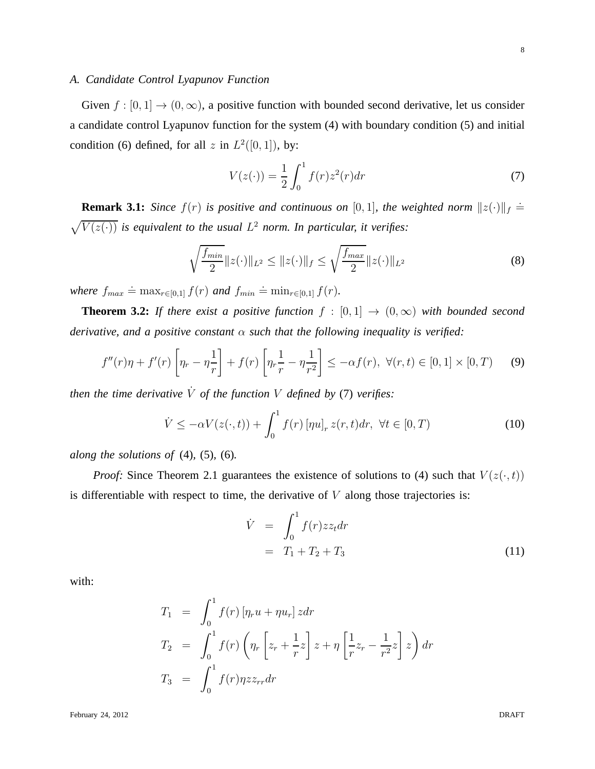Given  $f : [0, 1] \to (0, \infty)$ , a positive function with bounded second derivative, let us consider a candidate control Lyapunov function for the system (4) with boundary condition (5) and initial condition (6) defined, for all z in  $L^2([0,1])$ , by:

$$
V(z(\cdot)) = \frac{1}{2} \int_0^1 f(r) z^2(r) dr
$$
 (7)

**Remark 3.1:** *Since*  $f(r)$  *is positive and continuous on* [0, 1], *the weighted norm*  $||z(\cdot)||_f \doteq$  $\sqrt{V(z(\cdot))}$  *is equivalent to the usual*  $L^2$  *norm. In particular, it verifies:* 

$$
\sqrt{\frac{f_{min}}{2}} \|z(\cdot)\|_{L^2} \le \|z(\cdot)\|_f \le \sqrt{\frac{f_{max}}{2}} \|z(\cdot)\|_{L^2}
$$
\n(8)

where  $f_{max} \doteq \max_{r \in [0,1]} f(r)$  and  $f_{min} \doteq \min_{r \in [0,1]} f(r)$ .

*A. Candidate Control Lyapunov Function*

**Theorem 3.2:** *If there exist a positive function*  $f : [0,1] \rightarrow (0,\infty)$  *with bounded second derivative, and a positive constant* α *such that the following inequality is verified:*

$$
f''(r)\eta + f'(r)\left[\eta_r - \eta \frac{1}{r}\right] + f(r)\left[\eta_r \frac{1}{r} - \eta \frac{1}{r^2}\right] \le -\alpha f(r), \ \forall (r, t) \in [0, 1] \times [0, T) \tag{9}
$$

*then the time derivative*  $\dot{V}$  *of the function*  $V$  *defined by* (7) *verifies:* 

$$
\dot{V} \le -\alpha V(z(\cdot, t)) + \int_0^1 f(r) \left[\eta u\right]_r z(r, t) dr, \ \forall t \in [0, T)
$$
\n(10)

*along the solutions of* (4)*,* (5)*,* (6)*.*

*Proof:* Since Theorem 2.1 guarantees the existence of solutions to (4) such that  $V(z(\cdot,t))$ is differentiable with respect to time, the derivative of  $V$  along those trajectories is:

$$
\dot{V} = \int_0^1 f(r) z z_t dr
$$
  
= T<sub>1</sub> + T<sub>2</sub> + T<sub>3</sub> (11)

with:

$$
T_1 = \int_0^1 f(r) \left[ \eta_r u + \eta u_r \right] z dr
$$
  
\n
$$
T_2 = \int_0^1 f(r) \left( \eta_r \left[ z_r + \frac{1}{r} z \right] z + \eta \left[ \frac{1}{r} z_r - \frac{1}{r^2} z \right] z \right) dr
$$
  
\n
$$
T_3 = \int_0^1 f(r) \eta z z_{rr} dr
$$

February 24, 2012 DRAFT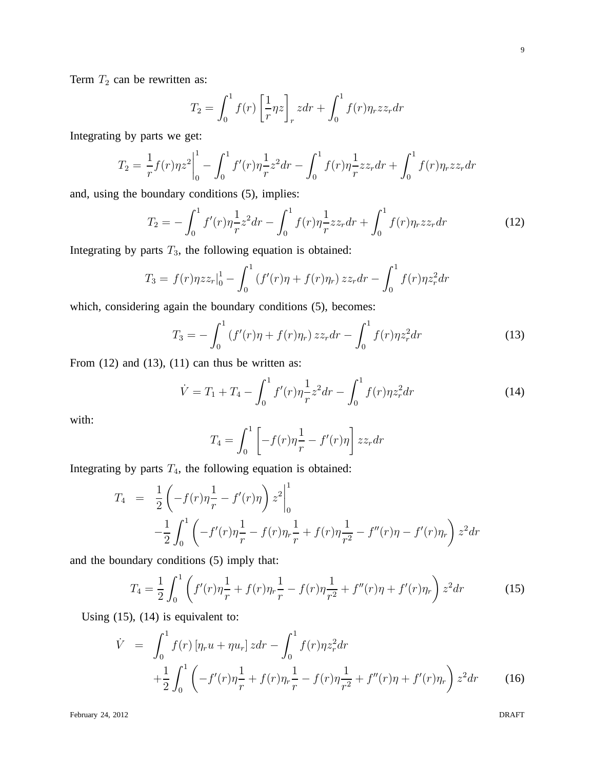Term  $T_2$  can be rewritten as:

$$
T_2 = \int_0^1 f(r) \left[ \frac{1}{r} \eta z \right]_r z dr + \int_0^1 f(r) \eta_r z z_r dr
$$

Integrating by parts we get:

$$
T_2 = \frac{1}{r}f(r)\eta z^2\bigg|_0^1 - \int_0^1 f'(r)\eta \frac{1}{r}z^2 dr - \int_0^1 f(r)\eta \frac{1}{r}zz_r dr + \int_0^1 f(r)\eta_r zz_r dr
$$

and, using the boundary conditions (5), implies:

$$
T_2 = -\int_0^1 f'(r)\eta \frac{1}{r}z^2 dr - \int_0^1 f(r)\eta \frac{1}{r}zz_r dr + \int_0^1 f(r)\eta_r zz_r dr \tag{12}
$$

Integrating by parts  $T_3$ , the following equation is obtained:

$$
T_3 = f(r)\eta z z_r \vert_0^1 - \int_0^1 (f'(r)\eta + f(r)\eta_r) z z_r dr - \int_0^1 f(r)\eta z_r^2 dr
$$

which, considering again the boundary conditions (5), becomes:

$$
T_3 = -\int_0^1 (f'(r)\eta + f(r)\eta_r) z z_r dr - \int_0^1 f(r)\eta z_r^2 dr \tag{13}
$$

From  $(12)$  and  $(13)$ ,  $(11)$  can thus be written as:

$$
\dot{V} = T_1 + T_4 - \int_0^1 f'(r)\eta \frac{1}{r} z^2 dr - \int_0^1 f(r)\eta z_r^2 dr \tag{14}
$$

with:

$$
T_4 = \int_0^1 \left[ -f(r)\eta \frac{1}{r} - f'(r)\eta \right] z z_r dr
$$

Integrating by parts  $T_4$ , the following equation is obtained:

$$
T_4 = \frac{1}{2} \left( -f(r)\eta \frac{1}{r} - f'(r)\eta \right) z^2 \Big|_0^1
$$
  

$$
-\frac{1}{2} \int_0^1 \left( -f'(r)\eta \frac{1}{r} - f(r)\eta \frac{1}{r} + f(r)\eta \frac{1}{r^2} - f''(r)\eta - f'(r)\eta \right) z^2 dr
$$

and the boundary conditions (5) imply that:

$$
T_4 = \frac{1}{2} \int_0^1 \left( f'(r) \eta \frac{1}{r} + f(r) \eta \frac{1}{r} - f(r) \eta \frac{1}{r^2} + f''(r) \eta + f'(r) \eta \right) z^2 dr \tag{15}
$$

Using  $(15)$ ,  $(14)$  is equivalent to:

$$
\dot{V} = \int_0^1 f(r) \left[ \eta_r u + \eta u_r \right] z dr - \int_0^1 f(r) \eta z_r^2 dr + \frac{1}{2} \int_0^1 \left( -f'(r) \eta \frac{1}{r} + f(r) \eta_r \frac{1}{r} - f(r) \eta \frac{1}{r^2} + f''(r) \eta + f'(r) \eta_r \right) z^2 dr \tag{16}
$$

February 24, 2012 DRAFT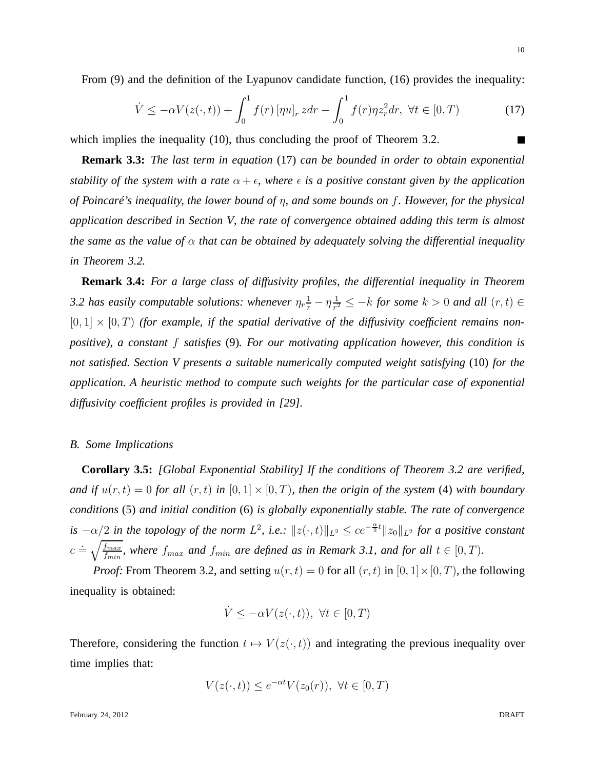$$
\dot{V} \le -\alpha V(z(\cdot, t)) + \int_0^1 f(r) \left[ \eta u \right]_r z dr - \int_0^1 f(r) \eta z_r^2 dr, \ \forall t \in [0, T) \tag{17}
$$

which implies the inequality (10), thus concluding the proof of Theorem 3.2.

**Remark 3.3:** *The last term in equation* (17) *can be bounded in order to obtain exponential stability of the system with a rate*  $\alpha + \epsilon$ *, where*  $\epsilon$  *is a positive constant given by the application of Poincaré's inequality, the lower bound of* η*, and some bounds on* f*. However, for the physical application described in Section V, the rate of convergence obtained adding this term is almost the same as the value of*  $\alpha$  *that can be obtained by adequately solving the differential inequality in Theorem 3.2.*

**Remark 3.4:** *For a large class of diffusivity profiles, the differential inequality in Theorem* 3.2 has easily computable solutions: whenever  $\eta_r \frac{1}{r} - \eta \frac{1}{r^2}$  $\frac{1}{r^2} \leq -k$  *for some*  $k > 0$  *and all*  $(r, t) \in$  $[0, 1] \times [0, T)$  *(for example, if the spatial derivative of the diffusivity coefficient remains nonpositive), a constant* f *satisfies* (9)*. For our motivating application however, this condition is not satisfied. Section V presents a suitable numerically computed weight satisfying* (10) *for the application. A heuristic method to compute such weights for the particular case of exponential diffusivity coefficient profiles is provided in [29].*

#### *B. Some Implications*

**Corollary 3.5:** *[Global Exponential Stability] If the conditions of Theorem 3.2 are verified, and if*  $u(r, t) = 0$  *for all*  $(r, t)$  *in*  $[0, 1] \times [0, T)$ *, then the origin of the system* (4) *with boundary conditions* (5) *and initial condition* (6) *is globally exponentially stable. The rate of convergence is*  $-\alpha/2$  *in the topology of the norm*  $L^2$ , *i.e.*:  $||z(\cdot,t)||_{L^2} \leq ce^{-\frac{\alpha}{2}t}||z_0||_{L^2}$  *for a positive constant*  $c \doteq \sqrt{\frac{f_{max}}{f}}$  $\frac{f_{max}}{f_{min}}$ , where  $f_{max}$  and  $f_{min}$  are defined as in Remark 3.1, and for all  $t \in [0, T)$ .

*Proof:* From Theorem 3.2, and setting  $u(r, t) = 0$  for all  $(r, t)$  in  $[0, 1] \times [0, T)$ , the following inequality is obtained:

$$
\dot{V} \le -\alpha V(z(\cdot, t)), \ \forall t \in [0, T)
$$

Therefore, considering the function  $t \mapsto V(z(\cdot, t))$  and integrating the previous inequality over time implies that:

$$
V(z(\cdot,t)) \le e^{-\alpha t} V(z_0(r)), \ \forall t \in [0,T)
$$

 $\blacksquare$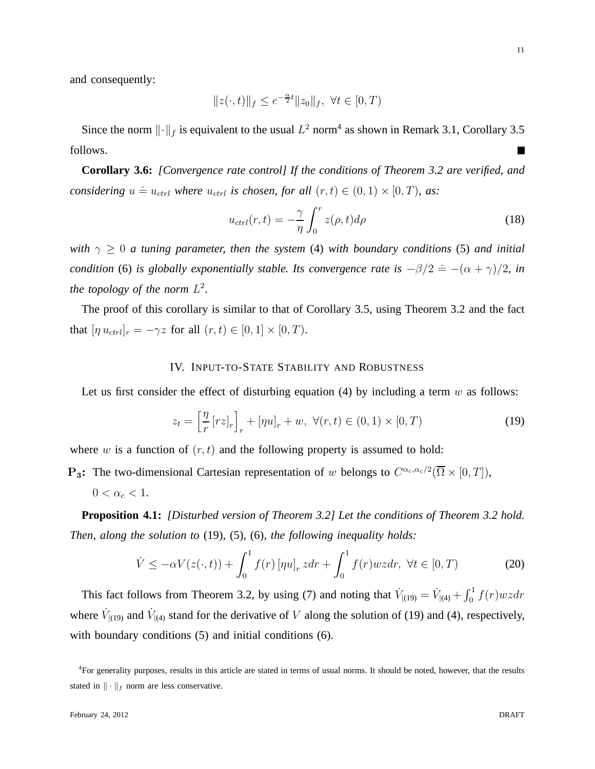and consequently:

$$
||z(\cdot,t)||_f \leq e^{-\frac{\alpha}{2}t}||z_0||_f, \ \forall t \in [0,T)
$$

Since the norm  $\lVert \cdot \rVert_f$  is equivalent to the usual  $L^2$  norm<sup>4</sup> as shown in Remark 3.1, Corollary 3.5 follows.  $\mathcal{L}_{\mathcal{A}}$ 

**Corollary 3.6:** *[Convergence rate control] If the conditions of Theorem 3.2 are verified, and considering*  $u \doteq u_{ctrl}$  *where*  $u_{ctrl}$  *is chosen, for all*  $(r, t) \in (0, 1) \times [0, T)$ *, as:* 

$$
u_{ctrl}(r,t) = -\frac{\gamma}{\eta} \int_0^r z(\rho, t) d\rho \tag{18}
$$

*with*  $\gamma \geq 0$  *a tuning parameter, then the system* (4) *with boundary conditions* (5) *and initial condition* (6) *is globally exponentially stable. Its convergence rate is*  $-\beta/2 \doteq -(\alpha + \gamma)/2$ *, in the topology of the norm*  $L^2$ .

The proof of this corollary is similar to that of Corollary 3.5, using Theorem 3.2 and the fact that  $[\eta u_{ctrl}]_r = -\gamma z$  for all  $(r, t) \in [0, 1] \times [0, T)$ .

#### IV. INPUT-TO-STATE STABILITY AND ROBUSTNESS

Let us first consider the effect of disturbing equation (4) by including a term  $w$  as follows:

$$
z_t = \left[\frac{\eta}{r} \left[rz\right]_r\right]_r + \left[\eta u\right]_r + w, \ \forall (r, t) \in (0, 1) \times [0, T) \tag{19}
$$

where w is a function of  $(r, t)$  and the following property is assumed to hold:

**P<sub>3</sub>:** The two-dimensional Cartesian representation of w belongs to  $C^{\alpha_c,\alpha_c/2}(\overline{\Omega} \times [0,T])$ ,

$$
0<\alpha_c<1.
$$

**Proposition 4.1:** *[Disturbed version of Theorem 3.2] Let the conditions of Theorem 3.2 hold. Then, along the solution to* (19)*,* (5)*,* (6)*, the following inequality holds:*

$$
\dot{V} \le -\alpha V(z(\cdot, t)) + \int_0^1 f(r) \left[\eta u\right]_r z dr + \int_0^1 f(r)wz dr, \ \forall t \in [0, T) \tag{20}
$$

This fact follows from Theorem 3.2, by using (7) and noting that  $\dot{V}_{|(19)} = \dot{V}_{|(4)} + \int_0^1 f(r)wzdr$ where  $\dot{V}_{|(19)}$  and  $\dot{V}_{|(4)}$  stand for the derivative of V along the solution of (19) and (4), respectively, with boundary conditions (5) and initial conditions (6).

<sup>4</sup>For generality purposes, results in this article are stated in terms of usual norms. It should be noted, however, that the results stated in  $\|\cdot\|_f$  norm are less conservative.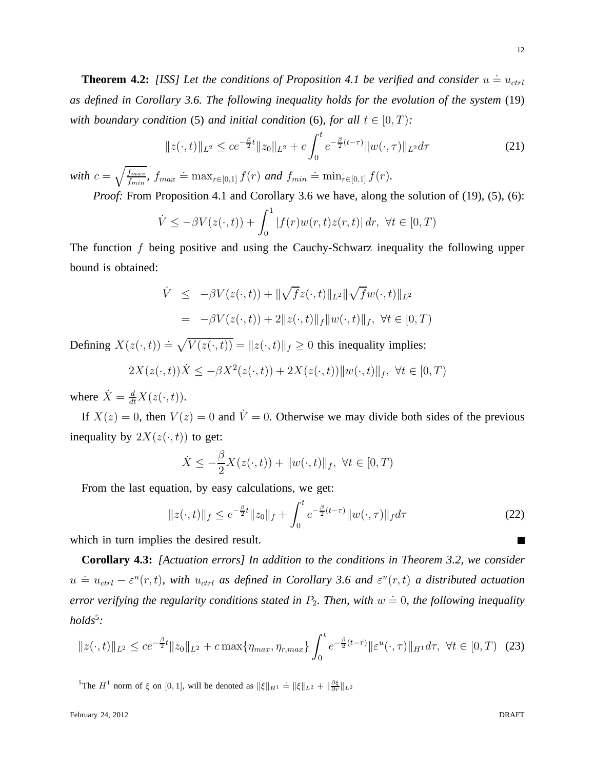**Theorem 4.2:** [ISS] Let the conditions of Proposition 4.1 be verified and consider  $u \doteq u_{ctrl}$ *as defined in Corollary 3.6. The following inequality holds for the evolution of the system* (19) *with boundary condition* (5) *and initial condition* (6)*, for all*  $t \in [0, T)$ *:* 

$$
||z(\cdot,t)||_{L^2} \le ce^{-\frac{\beta}{2}t}||z_0||_{L^2} + c\int_0^t e^{-\frac{\beta}{2}(t-\tau)}||w(\cdot,\tau)||_{L^2}d\tau
$$
\n(21)

*with*  $c = \sqrt{\frac{f_{max}}{f_{min}}}$  $\frac{f_{max}}{f_{min}}$ ,  $f_{max} \doteq \max_{r \in [0,1]} f(r)$  *and*  $f_{min} \doteq \min_{r \in [0,1]} f(r)$ .

*Proof:* From Proposition 4.1 and Corollary 3.6 we have, along the solution of (19), (5), (6):

$$
\dot{V} \le -\beta V(z(\cdot, t)) + \int_0^1 |f(r)w(r, t)z(r, t)| dr, \ \forall t \in [0, T)
$$

The function f being positive and using the Cauchy-Schwarz inequality the following upper bound is obtained:

$$
\dot{V} \leq -\beta V(z(\cdot, t)) + \|\sqrt{f}z(\cdot, t)\|_{L^{2}} \|\sqrt{f}w(\cdot, t)\|_{L^{2}} \n= -\beta V(z(\cdot, t)) + 2\|z(\cdot, t)\|_{f} \|w(\cdot, t)\|_{f}, \ \forall t \in [0, T)
$$

Defining  $X(z(\cdot, t)) = \sqrt{V(z(\cdot, t))} = ||z(\cdot, t)||_f \ge 0$  this inequality implies:

$$
2X(z(\cdot,t))\dot{X} \le -\beta X^2(z(\cdot,t)) + 2X(z(\cdot,t))\|w(\cdot,t)\|_f, \ \forall t \in [0,T)
$$

where  $\dot{X} = \frac{d}{dt}X(z(\cdot, t)).$ 

If  $X(z) = 0$ , then  $V(z) = 0$  and  $\dot{V} = 0$ . Otherwise we may divide both sides of the previous inequality by  $2X(z(\cdot,t))$  to get:

$$
\dot{X} \le -\frac{\beta}{2}X(z(\cdot,t)) + ||w(\cdot,t)||_f, \ \forall t \in [0,T)
$$

From the last equation, by easy calculations, we get:

$$
||z(\cdot,t)||_f \le e^{-\frac{\beta}{2}t} ||z_0||_f + \int_0^t e^{-\frac{\beta}{2}(t-\tau)} ||w(\cdot,\tau)||_f d\tau
$$
\n(22)

which in turn implies the desired result.

**Corollary 4.3:** *[Actuation errors] In addition to the conditions in Theorem 3.2, we consider*  $u \doteq u_{ctrl} - \varepsilon^u(r,t)$ , with  $u_{ctrl}$  as defined in Corollary 3.6 and  $\varepsilon^u(r,t)$  a distributed actuation *error verifying the regularity conditions stated in*  $P_2$ *. Then, with*  $w \doteq 0$ , the following inequality *holds*<sup>5</sup> *:*

$$
||z(\cdot,t)||_{L^2} \le ce^{-\frac{\beta}{2}t}||z_0||_{L^2} + c\max\{\eta_{max},\eta_{r,max}\}\int_0^t e^{-\frac{\beta}{2}(t-\tau)}||\varepsilon^u(\cdot,\tau)||_{H^1}d\tau, \ \forall t \in [0,T) \tag{23}
$$

<sup>5</sup>The  $H^1$  norm of  $\xi$  on [0, 1], will be denoted as  $\|\xi\|_{H^1} \doteq \|\xi\|_{L^2} + \|\frac{\partial \xi}{\partial r}\|_{L^2}$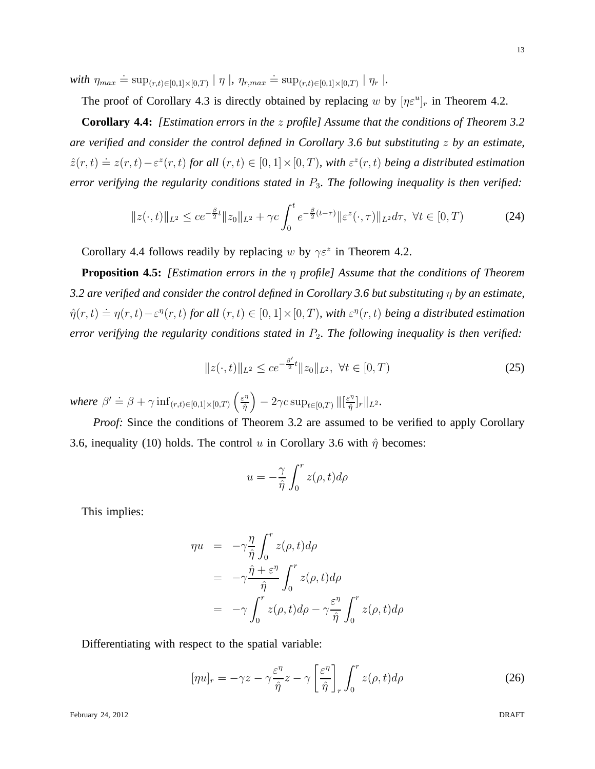$with \eta_{max} \doteq \sup_{(r,t) \in [0,1] \times [0,T)} | \eta |$ ,  $\eta_{r,max} \doteq \sup_{(r,t) \in [0,1] \times [0,T)} | \eta_r |$ .

The proof of Corollary 4.3 is directly obtained by replacing w by  $[\eta \varepsilon^u]_r$  in Theorem 4.2.

**Corollary 4.4:** *[Estimation errors in the* z *profile] Assume that the conditions of Theorem 3.2 are verified and consider the control defined in Corollary 3.6 but substituting* z *by an estimate,*  $\hat{z}(r,t) \doteq z(r,t) - \varepsilon^z(r,t)$  for all  $(r,t) \in [0,1] \times [0,T)$ , with  $\varepsilon^z(r,t)$  being a distributed estimation *error verifying the regularity conditions stated in* P3*. The following inequality is then verified:*

$$
||z(\cdot,t)||_{L^2} \le ce^{-\frac{\beta}{2}t}||z_0||_{L^2} + \gamma c \int_0^t e^{-\frac{\beta}{2}(t-\tau)} ||\varepsilon^z(\cdot,\tau)||_{L^2} d\tau, \ \forall t \in [0,T)
$$
 (24)

Corollary 4.4 follows readily by replacing w by  $\gamma \varepsilon^2$  in Theorem 4.2.

**Proposition 4.5:** *[Estimation errors in the* η *profile] Assume that the conditions of Theorem 3.2 are verified and consider the control defined in Corollary 3.6 but substituting* η *by an estimate,*  $\hat{\eta}(r,t) \doteq \eta(r,t) - \varepsilon^{\eta}(r,t)$  for all  $(r,t) \in [0,1] \times [0,T)$ , with  $\varepsilon^{\eta}(r,t)$  being a distributed estimation *error verifying the regularity conditions stated in P<sub>2</sub>. The following inequality is then verified:* 

$$
||z(\cdot,t)||_{L^2} \le ce^{-\frac{\beta'}{2}t}||z_0||_{L^2}, \ \forall t \in [0,T)
$$
\n(25)

*where*  $\beta' \doteq \beta + \gamma \inf_{(r,t) \in [0,1] \times [0,T)} \left( \frac{\varepsilon^n}{\hat{n}} \right)$  $\left\lVert \frac{\varepsilon^\eta}{\hat{\eta}} \right\rVert - 2 \gamma c \, \sup_{t \in [0,T)} \Vert \lbrack \frac{\varepsilon^\eta}{\hat{\eta}} \Vert$  $\frac{\varepsilon^{\eta}}{\hat{\eta}}\big]$ r $\big\|_{L^2}.$ 

*Proof:* Since the conditions of Theorem 3.2 are assumed to be verified to apply Corollary 3.6, inequality (10) holds. The control u in Corollary 3.6 with  $\hat{\eta}$  becomes:

$$
u = -\frac{\gamma}{\hat{\eta}} \int_0^r z(\rho, t) d\rho
$$

This implies:

$$
\eta u = -\gamma \frac{\eta}{\hat{\eta}} \int_0^r z(\rho, t) d\rho
$$
  
=  $-\gamma \frac{\hat{\eta} + \varepsilon^{\eta}}{\hat{\eta}} \int_0^r z(\rho, t) d\rho$   
=  $-\gamma \int_0^r z(\rho, t) d\rho - \gamma \frac{\varepsilon^{\eta}}{\hat{\eta}} \int_0^r z(\rho, t) d\rho$ 

Differentiating with respect to the spatial variable:

$$
[\eta u]_r = -\gamma z - \gamma \frac{\varepsilon^{\eta}}{\hat{\eta}} z - \gamma \left[ \frac{\varepsilon^{\eta}}{\hat{\eta}} \right]_r \int_0^r z(\rho, t) d\rho \tag{26}
$$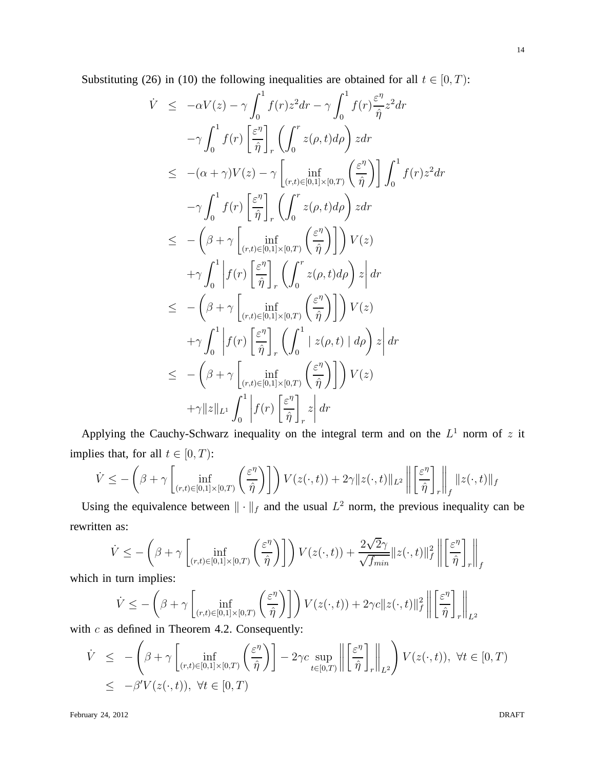Substituting (26) in (10) the following inequalities are obtained for all  $t \in [0, T)$ :

$$
\dot{V} \leq -\alpha V(z) - \gamma \int_0^1 f(r) z^2 dr - \gamma \int_0^1 f(r) \frac{\varepsilon^n}{\hat{\eta}} z^2 dr \n- \gamma \int_0^1 f(r) \left[ \frac{\varepsilon^n}{\hat{\eta}} \right]_r \left( \int_0^r z(\rho, t) d\rho \right) z dr \n\leq -(\alpha + \gamma)V(z) - \gamma \left[ \inf_{(r,t) \in [0,1] \times [0,T)} \left( \frac{\varepsilon^n}{\hat{\eta}} \right) \right] \int_0^1 f(r) z^2 dr \n- \gamma \int_0^1 f(r) \left[ \frac{\varepsilon^n}{\hat{\eta}} \right]_r \left( \int_0^r z(\rho, t) d\rho \right) z dr \n\leq - \left( \beta + \gamma \left[ \inf_{(r,t) \in [0,1] \times [0,T)} \left( \frac{\varepsilon^n}{\hat{\eta}} \right) \right] \right) V(z) \n+ \gamma \int_0^1 \left| f(r) \left[ \frac{\varepsilon^n}{\hat{\eta}} \right]_r \left( \int_0^r z(\rho, t) d\rho \right) z \right| dr \n\leq - \left( \beta + \gamma \left[ \inf_{(r,t) \in [0,1] \times [0,T)} \left( \frac{\varepsilon^n}{\hat{\eta}} \right) \right] \right) V(z) \n+ \gamma \int_0^1 \left| f(r) \left[ \frac{\varepsilon^n}{\hat{\eta}} \right]_r \left( \int_0^1 |z(\rho, t) | d\rho \right) z \right| dr \n\leq - \left( \beta + \gamma \left[ \inf_{(r,t) \in [0,1] \times [0,T)} \left( \frac{\varepsilon^n}{\hat{\eta}} \right) \right] \right) V(z) \n+ \gamma ||z||_{L^1} \int_0^1 \left| f(r) \left[ \frac{\varepsilon^n}{\hat{\eta}} \right]_r z \right| dr
$$

Applying the Cauchy-Schwarz inequality on the integral term and on the  $L^1$  norm of z it implies that, for all  $t \in [0, T)$ :

$$
\dot{V} \leq -\left(\beta + \gamma \left[\inf_{(r,t)\in[0,1]\times[0,T)}\left(\frac{\varepsilon^{\eta}}{\hat{\eta}}\right)\right]\right) V(z(\cdot,t)) + 2\gamma \|z(\cdot,t)\|_{L^{2}} \left\|\left[\frac{\varepsilon^{\eta}}{\hat{\eta}}\right]_{r}\right\|_{f} \|z(\cdot,t)\|_{f}
$$

Using the equivalence between  $\|\cdot\|_f$  and the usual  $L^2$  norm, the previous inequality can be rewritten as:

$$
\dot{V} \leq -\left(\beta + \gamma \left[\inf_{(r,t)\in[0,1]\times[0,T)}\left(\frac{\varepsilon^{\eta}}{\hat{\eta}}\right)\right]\right) V(z(\cdot,t)) + \frac{2\sqrt{2}\gamma}{\sqrt{f_{min}}} ||z(\cdot,t)||_f^2 \left\| \left[\frac{\varepsilon^{\eta}}{\hat{\eta}}\right]_r \right\|_f
$$

which in turn implies:

$$
\dot{V} \le -\left(\beta + \gamma \left[\inf_{(r,t)\in[0,1]\times[0,T)}\left(\frac{\varepsilon^{\eta}}{\hat{\eta}}\right)\right]\right) V(z(\cdot,t)) + 2\gamma c \|z(\cdot,t)\|_f^2 \left\| \left[\frac{\varepsilon^{\eta}}{\hat{\eta}}\right]_r \right\|_{L^2}
$$

with  $c$  as defined in Theorem 4.2. Consequently:

$$
\dot{V} \leq -\left(\beta + \gamma \left[\inf_{(r,t)\in[0,1]\times[0,T)} \left(\frac{\varepsilon^{\eta}}{\hat{\eta}}\right)\right] - 2\gamma c \sup_{t\in[0,T)} \left\| \left[\frac{\varepsilon^{\eta}}{\hat{\eta}}\right]_r \right\|_{L^2} \right) V(z(\cdot,t)), \ \forall t \in [0,T)
$$
\n
$$
\leq -\beta' V(z(\cdot,t)), \ \forall t \in [0,T)
$$

February 24, 2012 DRAFT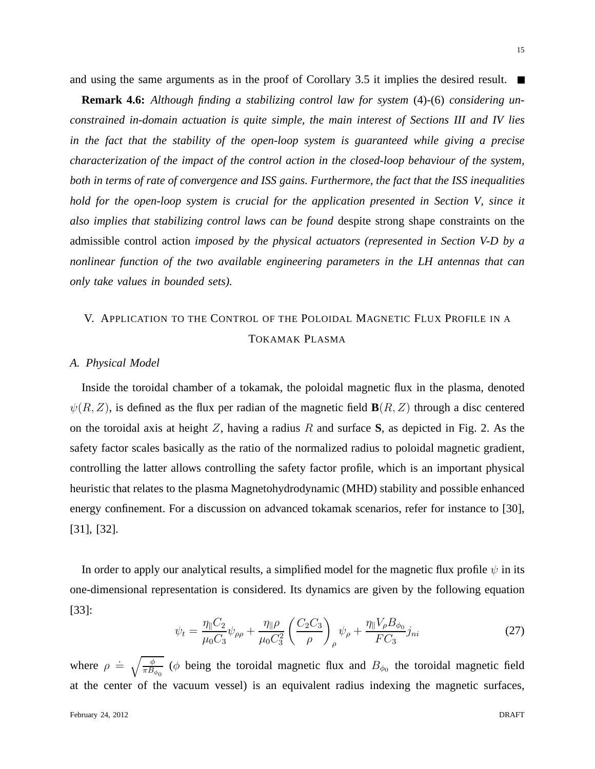**Remark 4.6:** *Although finding a stabilizing control law for system* (4)*-*(6) *considering unconstrained in-domain actuation is quite simple, the main interest of Sections III and IV lies in the fact that the stability of the open-loop system is guaranteed while giving a precise characterization of the impact of the control action in the closed-loop behaviour of the system, both in terms of rate of convergence and ISS gains. Furthermore, the fact that the ISS inequalities hold for the open-loop system is crucial for the application presented in Section V, since it also implies that stabilizing control laws can be found* despite strong shape constraints on the admissible control action *imposed by the physical actuators (represented in Section V-D by a nonlinear function of the two available engineering parameters in the LH antennas that can only take values in bounded sets).*

### V. APPLICATION TO THE CONTROL OF THE POLOIDAL MAGNETIC FLUX PROFILE IN A TOKAMAK PLASMA

#### *A. Physical Model*

Inside the toroidal chamber of a tokamak, the poloidal magnetic flux in the plasma, denoted  $\psi(R, Z)$ , is defined as the flux per radian of the magnetic field  $\mathbf{B}(R, Z)$  through a disc centered on the toroidal axis at height Z, having a radius R and surface **S**, as depicted in Fig. 2. As the safety factor scales basically as the ratio of the normalized radius to poloidal magnetic gradient, controlling the latter allows controlling the safety factor profile, which is an important physical heuristic that relates to the plasma Magnetohydrodynamic (MHD) stability and possible enhanced energy confinement. For a discussion on advanced tokamak scenarios, refer for instance to [30], [31], [32].

In order to apply our analytical results, a simplified model for the magnetic flux profile  $\psi$  in its one-dimensional representation is considered. Its dynamics are given by the following equation [33]:

$$
\psi_t = \frac{\eta_{\parallel} C_2}{\mu_0 C_3} \psi_{\rho \rho} + \frac{\eta_{\parallel} \rho}{\mu_0 C_3^2} \left(\frac{C_2 C_3}{\rho}\right)_{\rho} \psi_{\rho} + \frac{\eta_{\parallel} V_{\rho} B_{\phi_0}}{FC_3} j_{ni}
$$
(27)

where  $\rho = \sqrt{\frac{\phi}{\pi R}}$  $\frac{\phi}{\pi B_{\phi_0}}$  ( $\phi$  being the toroidal magnetic flux and  $B_{\phi_0}$  the toroidal magnetic field at the center of the vacuum vessel) is an equivalent radius indexing the magnetic surfaces,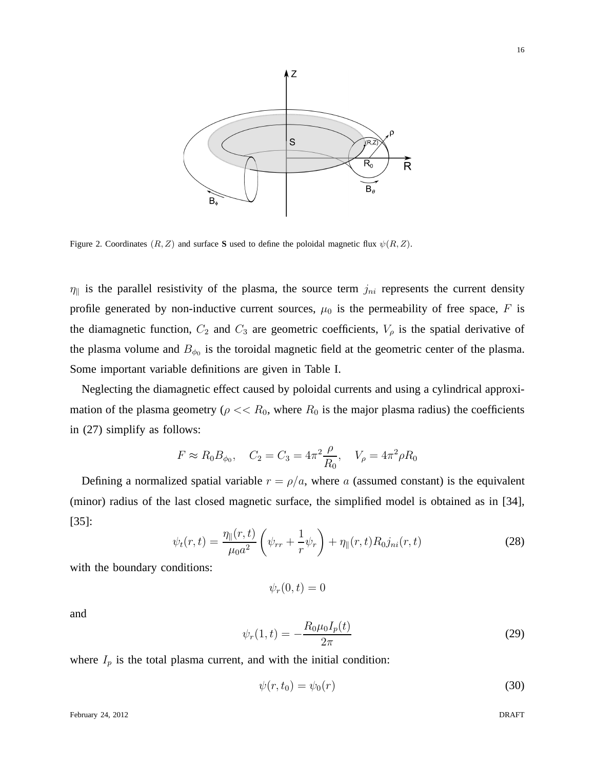

Figure 2. Coordinates  $(R, Z)$  and surface S used to define the poloidal magnetic flux  $\psi(R, Z)$ .

 $\eta_{\parallel}$  is the parallel resistivity of the plasma, the source term  $j_{ni}$  represents the current density profile generated by non-inductive current sources,  $\mu_0$  is the permeability of free space, F is the diamagnetic function,  $C_2$  and  $C_3$  are geometric coefficients,  $V_\rho$  is the spatial derivative of the plasma volume and  $B_{\phi_0}$  is the toroidal magnetic field at the geometric center of the plasma. Some important variable definitions are given in Table I.

Neglecting the diamagnetic effect caused by poloidal currents and using a cylindrical approximation of the plasma geometry ( $\rho \ll R_0$ , where  $R_0$  is the major plasma radius) the coefficients in (27) simplify as follows:

$$
F \approx R_0 B_{\phi_0}
$$
,  $C_2 = C_3 = 4\pi^2 \frac{\rho}{R_0}$ ,  $V_\rho = 4\pi^2 \rho R_0$ 

Defining a normalized spatial variable  $r = \rho/a$ , where a (assumed constant) is the equivalent (minor) radius of the last closed magnetic surface, the simplified model is obtained as in [34], [35]:

$$
\psi_t(r,t) = \frac{\eta_{\parallel}(r,t)}{\mu_0 a^2} \left( \psi_{rr} + \frac{1}{r} \psi_r \right) + \eta_{\parallel}(r,t) R_0 j_{ni}(r,t)
$$
\n(28)

with the boundary conditions:

$$
\psi_r(0,t)=0
$$

and

$$
\psi_r(1,t) = -\frac{R_0\mu_0 I_p(t)}{2\pi} \tag{29}
$$

where  $I_p$  is the total plasma current, and with the initial condition:

$$
\psi(r, t_0) = \psi_0(r) \tag{30}
$$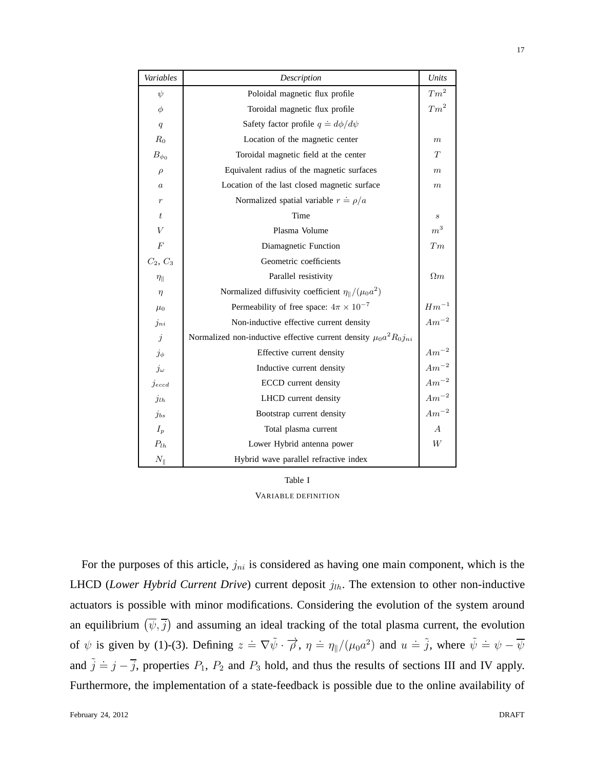| Variables          | Description                                                               | Units                        |
|--------------------|---------------------------------------------------------------------------|------------------------------|
| $\psi$             | Poloidal magnetic flux profile                                            | $Tm^2$                       |
| $\phi$             | Toroidal magnetic flux profile                                            | $Tm^2$                       |
| q                  | Safety factor profile $q \doteq d\phi/d\psi$                              |                              |
| $R_0$              | Location of the magnetic center                                           | m                            |
| $B_{\phi_0}$       | Toroidal magnetic field at the center                                     | T                            |
| $\rho$             | Equivalent radius of the magnetic surfaces                                | m                            |
| $\it a$            | Location of the last closed magnetic surface                              | $_{m}$                       |
| $\boldsymbol{r}$   | Normalized spatial variable $r = \rho/a$                                  |                              |
| $t\,$              | Time                                                                      | S                            |
| V                  | Plasma Volume                                                             | $\,m^3$                      |
| $\boldsymbol{F}$   | Diamagnetic Function                                                      | T <sub>m</sub>               |
| $C_2, C_3$         | Geometric coefficients                                                    |                              |
| $\eta_{\parallel}$ | Parallel resistivity                                                      | $\Omega_m$                   |
| $\eta$             | Normalized diffusivity coefficient $\eta_{\parallel}/(\mu_0 a^2)$         |                              |
| $\mu_0$            | Permeability of free space: $4\pi \times 10^{-7}$                         | $\mathbb{H}\mathbbm{m}^{-1}$ |
| $j_{ni}$           | Non-inductive effective current density                                   | $Am^{-2}$                    |
| $\dot{j}$          | Normalized non-inductive effective current density $\mu_0 a^2 R_0 j_{ni}$ |                              |
| $j_{\phi}$         | Effective current density                                                 | $Am^{-2}$                    |
| $j_\omega$         | Inductive current density                                                 | $Am^{-2}$                    |
| $j_{eccd}$         | <b>ECCD</b> current density                                               | $Am^{-2}$                    |
| $j_{lh}$           | LHCD current density                                                      | $Am^{-2}$                    |
| $j_{bs}$           | Bootstrap current density                                                 | $Am^{-2}$                    |
| $I_p$              | Total plasma current                                                      | $\overline{A}$               |
| $P_{lh}$           | Lower Hybrid antenna power                                                | W                            |
| $N_\parallel$      | Hybrid wave parallel refractive index                                     |                              |

Table I

VARIABLE DEFINITION

For the purposes of this article,  $j_{ni}$  is considered as having one main component, which is the LHCD (*Lower Hybrid Current Drive*) current deposit  $j_{lh}$ . The extension to other non-inductive actuators is possible with minor modifications. Considering the evolution of the system around an equilibrium  $(\overline{\psi}, \overline{j})$  and assuming an ideal tracking of the total plasma current, the evolution of  $\psi$  is given by (1)-(3). Defining  $z = \nabla \tilde{\psi} \cdot \vec{\rho}$ ,  $\eta = \eta_{\parallel}/(\mu_0 a^2)$  and  $u = \tilde{j}$ , where  $\tilde{\psi} = \psi - \overline{\psi}$ and  $\tilde{j} = j - \overline{j}$ , properties  $P_1$ ,  $P_2$  and  $P_3$  hold, and thus the results of sections III and IV apply. Furthermore, the implementation of a state-feedback is possible due to the online availability of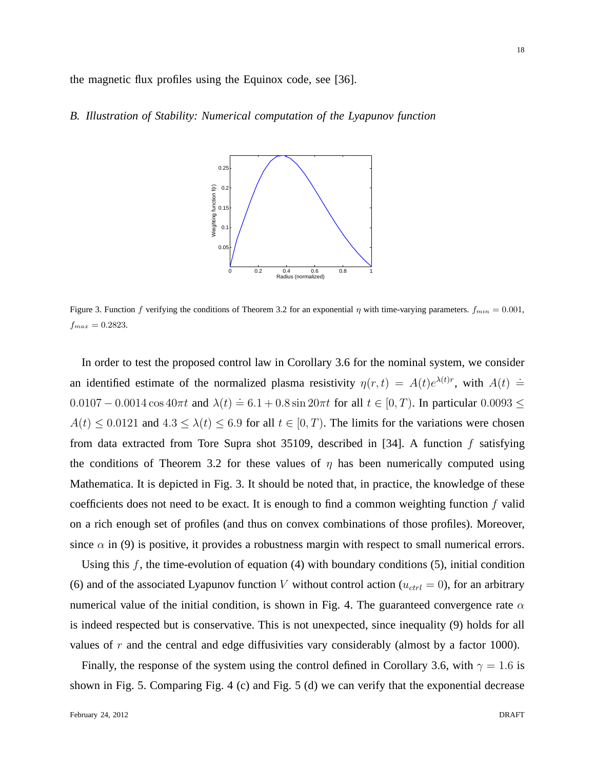the magnetic flux profiles using the Equinox code, see [36].

#### *B. Illustration of Stability: Numerical computation of the Lyapunov function*



Figure 3. Function f verifying the conditions of Theorem 3.2 for an exponential  $\eta$  with time-varying parameters.  $f_{min} = 0.001$ ,  $f_{max} = 0.2823$ .

In order to test the proposed control law in Corollary 3.6 for the nominal system, we consider an identified estimate of the normalized plasma resistivity  $\eta(r,t) = A(t)e^{\lambda(t)r}$ , with  $A(t) =$ 0.0107 – 0.0014 cos 40πt and  $\lambda(t)$  = 6.1 + 0.8 sin 20πt for all  $t \in [0, T)$ . In particular 0.0093 ≤  $A(t) \leq 0.0121$  and  $4.3 \leq \lambda(t) \leq 6.9$  for all  $t \in [0, T)$ . The limits for the variations were chosen from data extracted from Tore Supra shot 35109, described in [34]. A function  $f$  satisfying the conditions of Theorem 3.2 for these values of  $\eta$  has been numerically computed using Mathematica. It is depicted in Fig. 3. It should be noted that, in practice, the knowledge of these coefficients does not need to be exact. It is enough to find a common weighting function f valid on a rich enough set of profiles (and thus on convex combinations of those profiles). Moreover, since  $\alpha$  in (9) is positive, it provides a robustness margin with respect to small numerical errors.

Using this  $f$ , the time-evolution of equation (4) with boundary conditions (5), initial condition (6) and of the associated Lyapunov function V without control action ( $u_{ctrl} = 0$ ), for an arbitrary numerical value of the initial condition, is shown in Fig. 4. The guaranteed convergence rate  $\alpha$ is indeed respected but is conservative. This is not unexpected, since inequality (9) holds for all values of  $r$  and the central and edge diffusivities vary considerably (almost by a factor 1000).

Finally, the response of the system using the control defined in Corollary 3.6, with  $\gamma = 1.6$  is shown in Fig. 5. Comparing Fig. 4 (c) and Fig. 5 (d) we can verify that the exponential decrease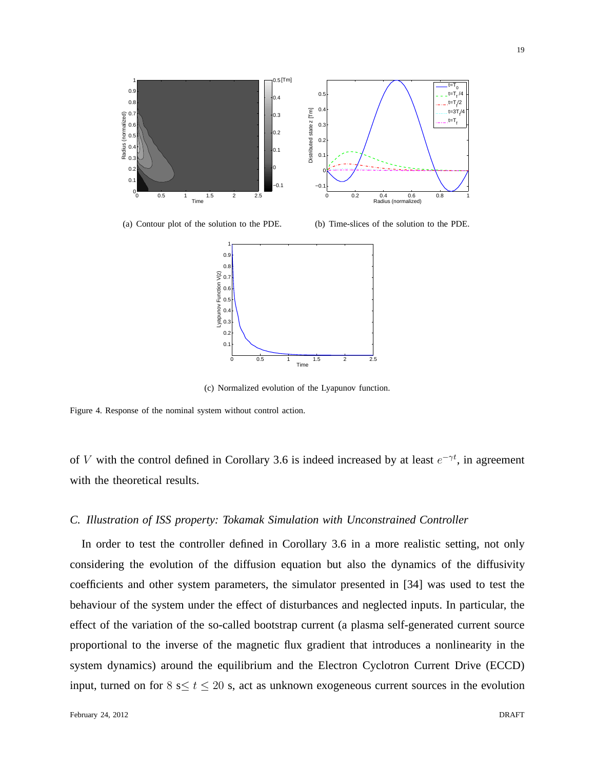

19



(a) Contour plot of the solution to the PDE.

(b) Time-slices of the solution to the PDE.



(c) Normalized evolution of the Lyapunov function.

Figure 4. Response of the nominal system without control action.

of V with the control defined in Corollary 3.6 is indeed increased by at least  $e^{-\gamma t}$ , in agreement with the theoretical results.

#### *C. Illustration of ISS property: Tokamak Simulation with Unconstrained Controller*

In order to test the controller defined in Corollary 3.6 in a more realistic setting, not only considering the evolution of the diffusion equation but also the dynamics of the diffusivity coefficients and other system parameters, the simulator presented in [34] was used to test the behaviour of the system under the effect of disturbances and neglected inputs. In particular, the effect of the variation of the so-called bootstrap current (a plasma self-generated current source proportional to the inverse of the magnetic flux gradient that introduces a nonlinearity in the system dynamics) around the equilibrium and the Electron Cyclotron Current Drive (ECCD) input, turned on for  $8 \le t \le 20$  s, act as unknown exogeneous current sources in the evolution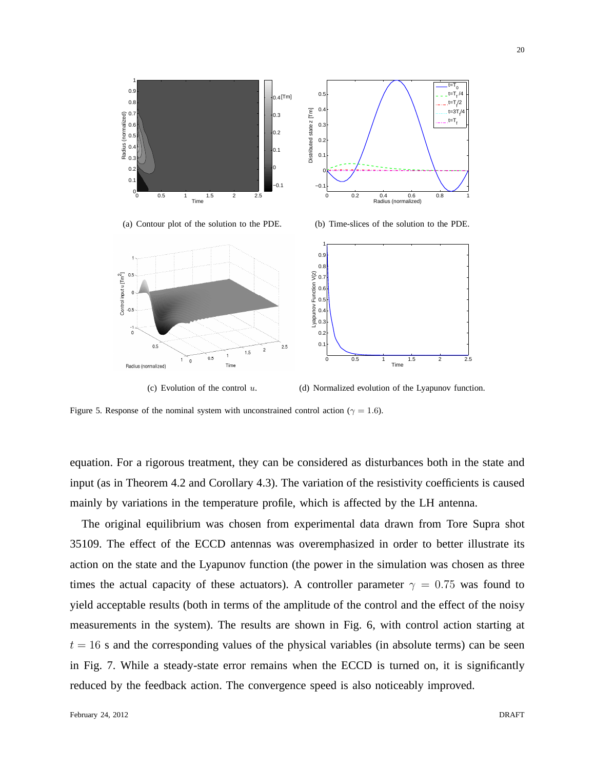

Figure 5. Response of the nominal system with unconstrained control action ( $\gamma = 1.6$ ).

Time

 $1.5$ 

(c) Evolution of the control  $u$ .

່ວ

 $0.5$ 

 $\overline{0}$ 

 $0.5$ 

Radius (normalized)

equation. For a rigorous treatment, they can be considered as disturbances both in the state and input (as in Theorem 4.2 and Corollary 4.3). The variation of the resistivity coefficients is caused mainly by variations in the temperature profile, which is affected by the LH antenna.

 $\overline{0}$ .  $0.2$ 

0 0.5 1 1.5 2 2.5

Time

(d) Normalized evolution of the Lyapunov function.

The original equilibrium was chosen from experimental data drawn from Tore Supra shot 35109. The effect of the ECCD antennas was overemphasized in order to better illustrate its action on the state and the Lyapunov function (the power in the simulation was chosen as three times the actual capacity of these actuators). A controller parameter  $\gamma = 0.75$  was found to yield acceptable results (both in terms of the amplitude of the control and the effect of the noisy measurements in the system). The results are shown in Fig. 6, with control action starting at  $t = 16$  s and the corresponding values of the physical variables (in absolute terms) can be seen in Fig. 7. While a steady-state error remains when the ECCD is turned on, it is significantly reduced by the feedback action. The convergence speed is also noticeably improved.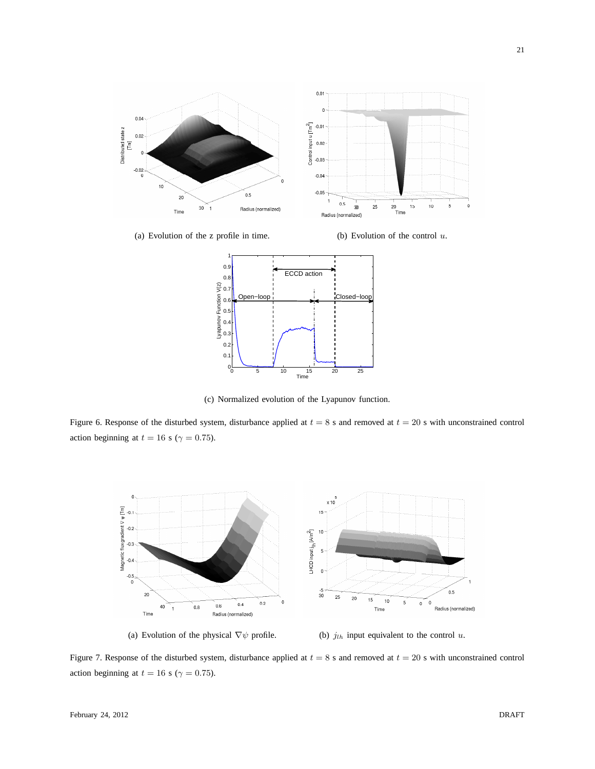

(a) Evolution of the z profile in time. (b) Evolution of the control  $u$ .



(c) Normalized evolution of the Lyapunov function.

Figure 6. Response of the disturbed system, disturbance applied at  $t = 8$  s and removed at  $t = 20$  s with unconstrained control action beginning at  $t = 16$  s ( $\gamma = 0.75$ ).



(a) Evolution of the physical  $\nabla \psi$  profile. (b)  $j_{lh}$  input equivalent to the control u.

Figure 7. Response of the disturbed system, disturbance applied at  $t = 8$  s and removed at  $t = 20$  s with unconstrained control action beginning at  $t = 16$  s ( $\gamma = 0.75$ ).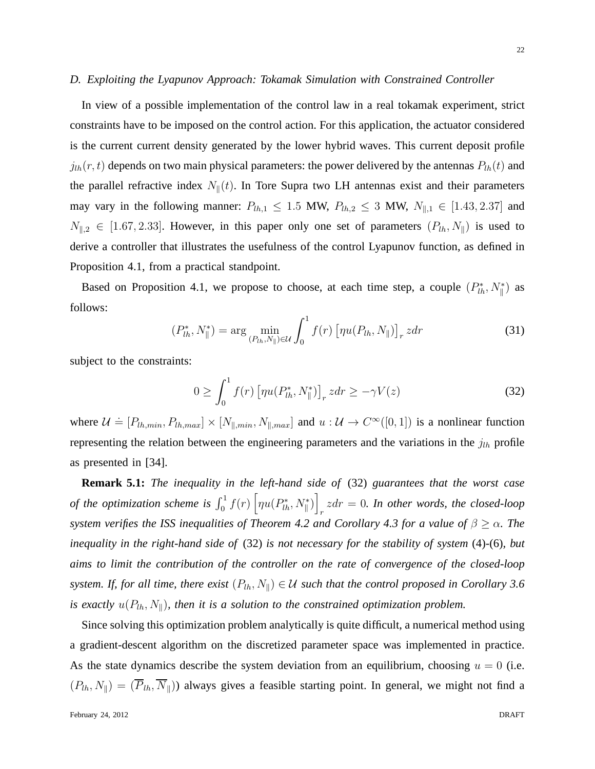22

#### *D. Exploiting the Lyapunov Approach: Tokamak Simulation with Constrained Controller*

In view of a possible implementation of the control law in a real tokamak experiment, strict constraints have to be imposed on the control action. For this application, the actuator considered is the current current density generated by the lower hybrid waves. This current deposit profile  $j_{lh}(r, t)$  depends on two main physical parameters: the power delivered by the antennas  $P_{lh}(t)$  and the parallel refractive index  $N_{\parallel}(t)$ . In Tore Supra two LH antennas exist and their parameters may vary in the following manner:  $P_{lh,1} \le 1.5$  MW,  $P_{lh,2} \le 3$  MW,  $N_{\parallel,1} \in [1.43, 2.37]$  and  $N_{\parallel,2} \in [1.67, 2.33]$ . However, in this paper only one set of parameters  $(P_{lh}, N_{\parallel})$  is used to derive a controller that illustrates the usefulness of the control Lyapunov function, as defined in Proposition 4.1, from a practical standpoint.

Based on Proposition 4.1, we propose to choose, at each time step, a couple  $(P_{lh}^*, N_{\parallel}^*)$  as follows:

$$
(P_{lh}^*, N_{\parallel}^*) = \arg\min_{(P_{lh}, N_{\parallel}) \in \mathcal{U}} \int_0^1 f(r) \left[ \eta u(P_{lh}, N_{\parallel}) \right]_r z dr \tag{31}
$$

subject to the constraints:

$$
0 \ge \int_0^1 f(r) \left[ \eta u(P_{lh}^*, N_{\parallel}^*) \right]_r z dr \ge -\gamma V(z) \tag{32}
$$

where  $\mathcal{U} \doteq [P_{lh,min}, P_{lh,max}] \times [N_{\parallel,min}, N_{\parallel,max}]$  and  $u : \mathcal{U} \to C^{\infty}([0,1])$  is a nonlinear function representing the relation between the engineering parameters and the variations in the  $j_{lh}$  profile as presented in [34].

**Remark 5.1:** *The inequality in the left-hand side of* (32) *guarantees that the worst case of the optimization scheme is*  $\int_0^1 f(r) \left[ \eta u(P_{lh}^*, N_{\parallel}^*) \right]$  $zdr = 0$ . In other words, the closed-loop *system verifies the ISS inequalities of Theorem 4.2 and Corollary 4.3 for a value of*  $\beta \geq \alpha$ *. The inequality in the right-hand side of* (32) *is not necessary for the stability of system* (4)*-*(6)*, but aims to limit the contribution of the controller on the rate of convergence of the closed-loop system. If, for all time, there exist*  $(P_{lh}, N_{\parallel}) \in U$  *such that the control proposed in Corollary 3.6 is exactly*  $u(P_{lh}, N_{\parallel})$ *, then it is a solution to the constrained optimization problem.* 

Since solving this optimization problem analytically is quite difficult, a numerical method using a gradient-descent algorithm on the discretized parameter space was implemented in practice. As the state dynamics describe the system deviation from an equilibrium, choosing  $u = 0$  (i.e.  $(P_{lh}, N_{\parallel}) = (\overline{P}_{lh}, \overline{N}_{\parallel})$  always gives a feasible starting point. In general, we might not find a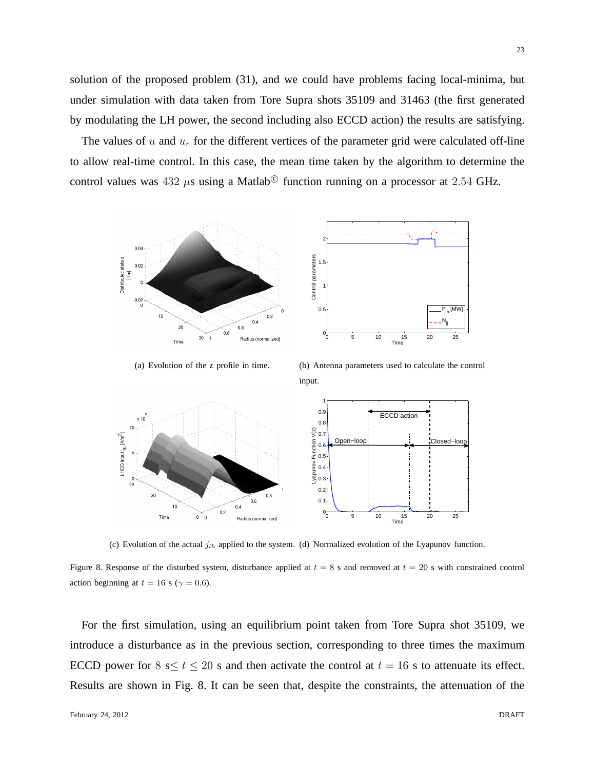solution of the proposed problem (31), and we could have problems facing local-minima, but under simulation with data taken from Tore Supra shots 35109 and 31463 (the first generated by modulating the LH power, the second including also ECCD action) the results are satisfying.

The values of u and  $u_r$  for the different vertices of the parameter grid were calculated off-line to allow real-time control. In this case, the mean time taken by the algorithm to determine the control values was  $432 \mu s$  using a Matlab<sup>©</sup> function running on a processor at 2.54 GHz.



(a) Evolution of the z profile in time.

(b) Antenna parameters used to calculate the control input.



(c) Evolution of the actual  $j_{lh}$  applied to the system. (d) Normalized evolution of the Lyapunov function.

Figure 8. Response of the disturbed system, disturbance applied at  $t = 8$  s and removed at  $t = 20$  s with constrained control action beginning at  $t = 16$  s ( $\gamma = 0.6$ ).

For the first simulation, using an equilibrium point taken from Tore Supra shot 35109, we introduce a disturbance as in the previous section, corresponding to three times the maximum ECCD power for  $8 \le t \le 20$  s and then activate the control at  $t = 16$  s to attenuate its effect. Results are shown in Fig. 8. It can be seen that, despite the constraints, the attenuation of the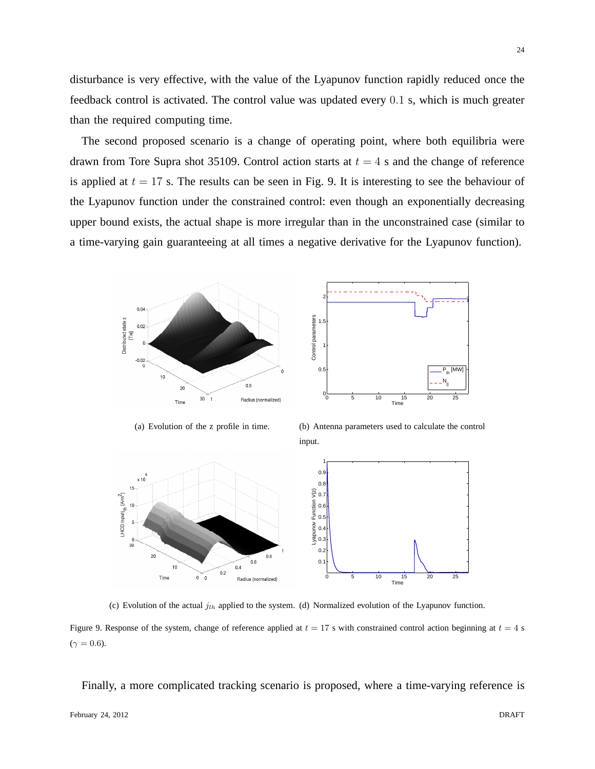disturbance is very effective, with the value of the Lyapunov function rapidly reduced once the feedback control is activated. The control value was updated every 0.1 s, which is much greater than the required computing time.

The second proposed scenario is a change of operating point, where both equilibria were drawn from Tore Supra shot 35109. Control action starts at  $t = 4$  s and the change of reference is applied at  $t = 17$  s. The results can be seen in Fig. 9. It is interesting to see the behaviour of the Lyapunov function under the constrained control: even though an exponentially decreasing upper bound exists, the actual shape is more irregular than in the unconstrained case (similar to a time-varying gain guaranteeing at all times a negative derivative for the Lyapunov function).



(a) Evolution of the z profile in time.

(b) Antenna parameters used to calculate the control input.



(c) Evolution of the actual  $j_{th}$  applied to the system. (d) Normalized evolution of the Lyapunov function.

Figure 9. Response of the system, change of reference applied at  $t = 17$  s with constrained control action beginning at  $t = 4$  s  $(\gamma = 0.6)$ .

Finally, a more complicated tracking scenario is proposed, where a time-varying reference is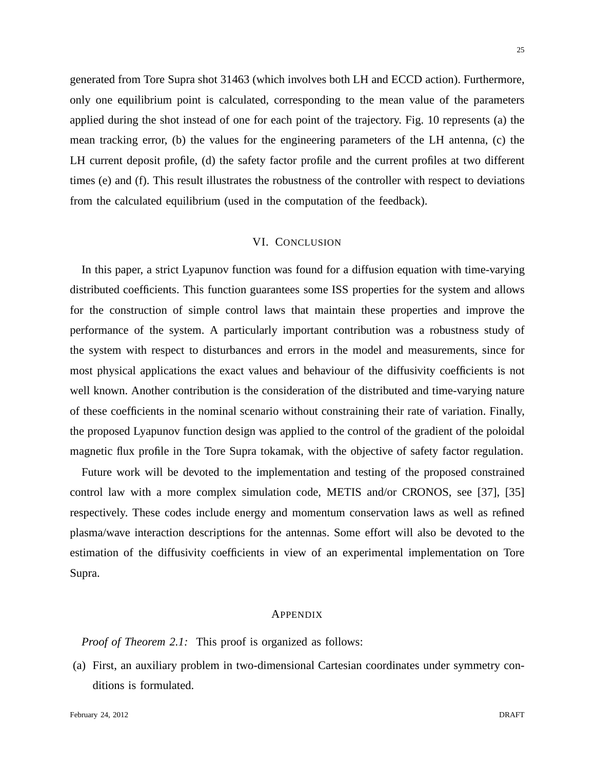generated from Tore Supra shot 31463 (which involves both LH and ECCD action). Furthermore, only one equilibrium point is calculated, corresponding to the mean value of the parameters applied during the shot instead of one for each point of the trajectory. Fig. 10 represents (a) the mean tracking error, (b) the values for the engineering parameters of the LH antenna, (c) the

LH current deposit profile, (d) the safety factor profile and the current profiles at two different times (e) and (f). This result illustrates the robustness of the controller with respect to deviations from the calculated equilibrium (used in the computation of the feedback).

#### VI. CONCLUSION

In this paper, a strict Lyapunov function was found for a diffusion equation with time-varying distributed coefficients. This function guarantees some ISS properties for the system and allows for the construction of simple control laws that maintain these properties and improve the performance of the system. A particularly important contribution was a robustness study of the system with respect to disturbances and errors in the model and measurements, since for most physical applications the exact values and behaviour of the diffusivity coefficients is not well known. Another contribution is the consideration of the distributed and time-varying nature of these coefficients in the nominal scenario without constraining their rate of variation. Finally, the proposed Lyapunov function design was applied to the control of the gradient of the poloidal magnetic flux profile in the Tore Supra tokamak, with the objective of safety factor regulation.

Future work will be devoted to the implementation and testing of the proposed constrained control law with a more complex simulation code, METIS and/or CRONOS, see [37], [35] respectively. These codes include energy and momentum conservation laws as well as refined plasma/wave interaction descriptions for the antennas. Some effort will also be devoted to the estimation of the diffusivity coefficients in view of an experimental implementation on Tore Supra.

#### APPENDIX

*Proof of Theorem 2.1:* This proof is organized as follows:

(a) First, an auxiliary problem in two-dimensional Cartesian coordinates under symmetry conditions is formulated.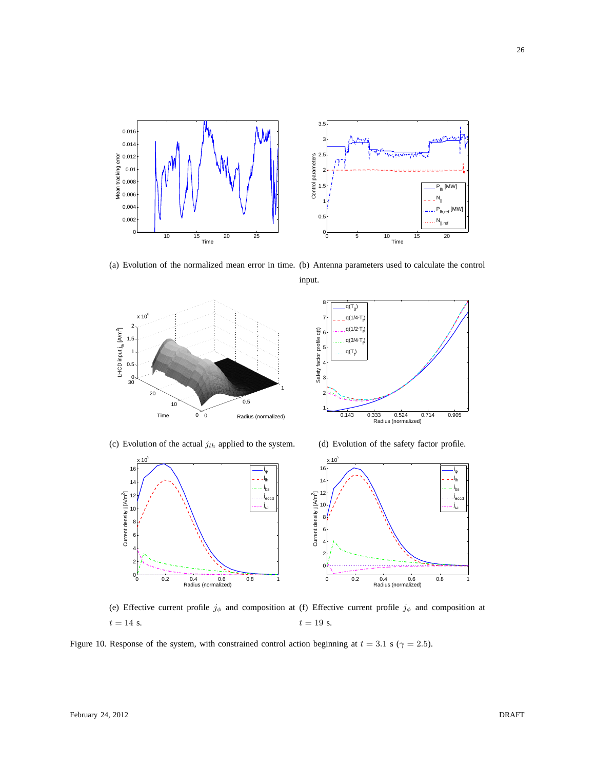

(a) Evolution of the normalized mean error in time. (b) Antenna parameters used to calculate the control

input.





(c) Evolution of the actual  $j_{lh}$  applied to the system.

(d) Evolution of the safety factor profile.



(e) Effective current profile  $j_{\phi}$  and composition at (f) Effective current profile  $j_{\phi}$  and composition at  $t = 14$  s.  $t = 19$  s.

Figure 10. Response of the system, with constrained control action beginning at  $t = 3.1$  s ( $\gamma = 2.5$ ).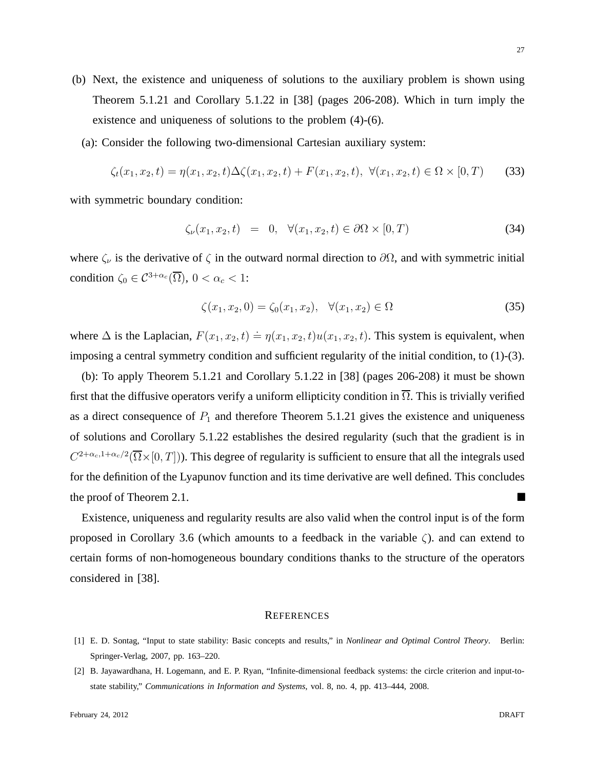- (b) Next, the existence and uniqueness of solutions to the auxiliary problem is shown using Theorem 5.1.21 and Corollary 5.1.22 in [38] (pages 206-208). Which in turn imply the existence and uniqueness of solutions to the problem (4)-(6).
	- (a): Consider the following two-dimensional Cartesian auxiliary system:

$$
\zeta_t(x_1, x_2, t) = \eta(x_1, x_2, t)\Delta\zeta(x_1, x_2, t) + F(x_1, x_2, t), \ \forall (x_1, x_2, t) \in \Omega \times [0, T)
$$
 (33)

with symmetric boundary condition:

$$
\zeta_{\nu}(x_1, x_2, t) = 0, \quad \forall (x_1, x_2, t) \in \partial\Omega \times [0, T)
$$
\n(34)

where  $\zeta_{\nu}$  is the derivative of  $\zeta$  in the outward normal direction to  $\partial\Omega$ , and with symmetric initial condition  $\zeta_0 \in C^{3+\alpha_c}(\overline{\Omega}), 0 < \alpha_c < 1$ :

$$
\zeta(x_1, x_2, 0) = \zeta_0(x_1, x_2), \quad \forall (x_1, x_2) \in \Omega \tag{35}
$$

where  $\Delta$  is the Laplacian,  $F(x_1, x_2, t) \doteq \eta(x_1, x_2, t)u(x_1, x_2, t)$ . This system is equivalent, when imposing a central symmetry condition and sufficient regularity of the initial condition, to (1)-(3).

(b): To apply Theorem 5.1.21 and Corollary 5.1.22 in [38] (pages 206-208) it must be shown first that the diffusive operators verify a uniform ellipticity condition in  $\overline{\Omega}$ . This is trivially verified as a direct consequence of  $P_1$  and therefore Theorem 5.1.21 gives the existence and uniqueness of solutions and Corollary 5.1.22 establishes the desired regularity (such that the gradient is in  $C^{2+\alpha_c,1+\alpha_c/2}(\overline{\Omega}\times[0,T]))$ . This degree of regularity is sufficient to ensure that all the integrals used for the definition of the Lyapunov function and its time derivative are well defined. This concludes the proof of Theorem 2.1.

Existence, uniqueness and regularity results are also valid when the control input is of the form proposed in Corollary 3.6 (which amounts to a feedback in the variable ζ). and can extend to certain forms of non-homogeneous boundary conditions thanks to the structure of the operators considered in [38].

#### **REFERENCES**

27

<sup>[1]</sup> E. D. Sontag, "Input to state stability: Basic concepts and results," in *Nonlinear and Optimal Control Theory*. Berlin: Springer-Verlag, 2007, pp. 163–220.

<sup>[2]</sup> B. Jayawardhana, H. Logemann, and E. P. Ryan, "Infinite-dimensional feedback systems: the circle criterion and input-tostate stability," *Communications in Information and Systems*, vol. 8, no. 4, pp. 413–444, 2008.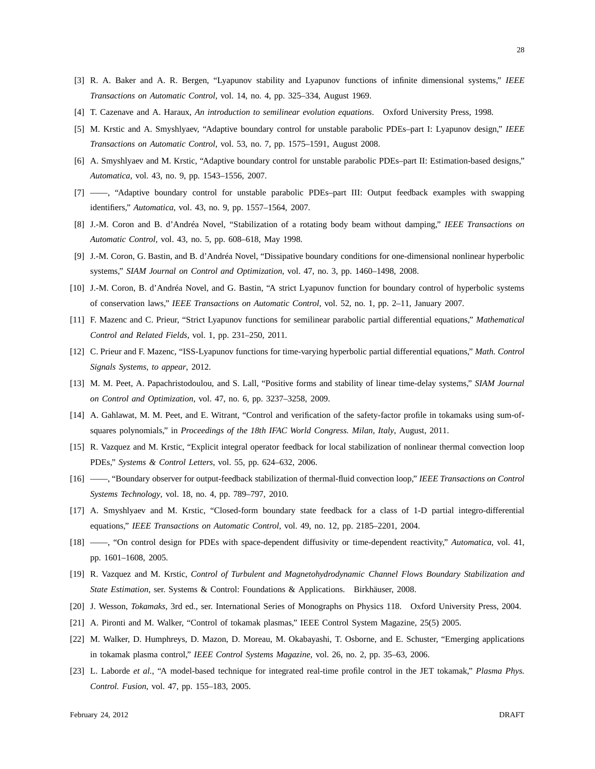- [3] R. A. Baker and A. R. Bergen, "Lyapunov stability and Lyapunov functions of infinite dimensional systems," *IEEE Transactions on Automatic Control*, vol. 14, no. 4, pp. 325–334, August 1969.
- [4] T. Cazenave and A. Haraux, *An introduction to semilinear evolution equations*. Oxford University Press, 1998.
- [5] M. Krstic and A. Smyshlyaev, "Adaptive boundary control for unstable parabolic PDEs–part I: Lyapunov design," *IEEE Transactions on Automatic Control*, vol. 53, no. 7, pp. 1575–1591, August 2008.
- [6] A. Smyshlyaev and M. Krstic, "Adaptive boundary control for unstable parabolic PDEs–part II: Estimation-based designs," *Automatica*, vol. 43, no. 9, pp. 1543–1556, 2007.
- [7] ——, "Adaptive boundary control for unstable parabolic PDEs–part III: Output feedback examples with swapping identifiers," *Automatica*, vol. 43, no. 9, pp. 1557–1564, 2007.
- [8] J.-M. Coron and B. d'Andréa Novel, "Stabilization of a rotating body beam without damping," *IEEE Transactions on Automatic Control*, vol. 43, no. 5, pp. 608–618, May 1998.
- [9] J.-M. Coron, G. Bastin, and B. d'Andréa Novel, "Dissipative boundary conditions for one-dimensional nonlinear hyperbolic systems," *SIAM Journal on Control and Optimization*, vol. 47, no. 3, pp. 1460–1498, 2008.
- [10] J.-M. Coron, B. d'Andréa Novel, and G. Bastin, "A strict Lyapunov function for boundary control of hyperbolic systems of conservation laws," *IEEE Transactions on Automatic Control*, vol. 52, no. 1, pp. 2–11, January 2007.
- [11] F. Mazenc and C. Prieur, "Strict Lyapunov functions for semilinear parabolic partial differential equations," *Mathematical Control and Related Fields*, vol. 1, pp. 231–250, 2011.
- [12] C. Prieur and F. Mazenc, "ISS-Lyapunov functions for time-varying hyperbolic partial differential equations," *Math. Control Signals Systems, to appear*, 2012.
- [13] M. M. Peet, A. Papachristodoulou, and S. Lall, "Positive forms and stability of linear time-delay systems," *SIAM Journal on Control and Optimization*, vol. 47, no. 6, pp. 3237–3258, 2009.
- [14] A. Gahlawat, M. M. Peet, and E. Witrant, "Control and verification of the safety-factor profile in tokamaks using sum-ofsquares polynomials," in *Proceedings of the 18th IFAC World Congress. Milan, Italy*, August, 2011.
- [15] R. Vazquez and M. Krstic, "Explicit integral operator feedback for local stabilization of nonlinear thermal convection loop PDEs," *Systems & Control Letters*, vol. 55, pp. 624–632, 2006.
- [16] ——, "Boundary observer for output-feedback stabilization of thermal-fluid convection loop," *IEEE Transactions on Control Systems Technology*, vol. 18, no. 4, pp. 789–797, 2010.
- [17] A. Smyshlyaev and M. Krstic, "Closed-form boundary state feedback for a class of 1-D partial integro-differential equations," *IEEE Transactions on Automatic Control*, vol. 49, no. 12, pp. 2185–2201, 2004.
- [18] ——, "On control design for PDEs with space-dependent diffusivity or time-dependent reactivity," *Automatica*, vol. 41, pp. 1601–1608, 2005.
- [19] R. Vazquez and M. Krstic, *Control of Turbulent and Magnetohydrodynamic Channel Flows Boundary Stabilization and State Estimation*, ser. Systems & Control: Foundations & Applications. Birkhäuser, 2008.
- [20] J. Wesson, *Tokamaks*, 3rd ed., ser. International Series of Monographs on Physics 118. Oxford University Press, 2004.
- [21] A. Pironti and M. Walker, "Control of tokamak plasmas," IEEE Control System Magazine, 25(5) 2005.
- [22] M. Walker, D. Humphreys, D. Mazon, D. Moreau, M. Okabayashi, T. Osborne, and E. Schuster, "Emerging applications in tokamak plasma control," *IEEE Control Systems Magazine*, vol. 26, no. 2, pp. 35–63, 2006.
- [23] L. Laborde *et al.*, "A model-based technique for integrated real-time profile control in the JET tokamak," *Plasma Phys. Control. Fusion*, vol. 47, pp. 155–183, 2005.